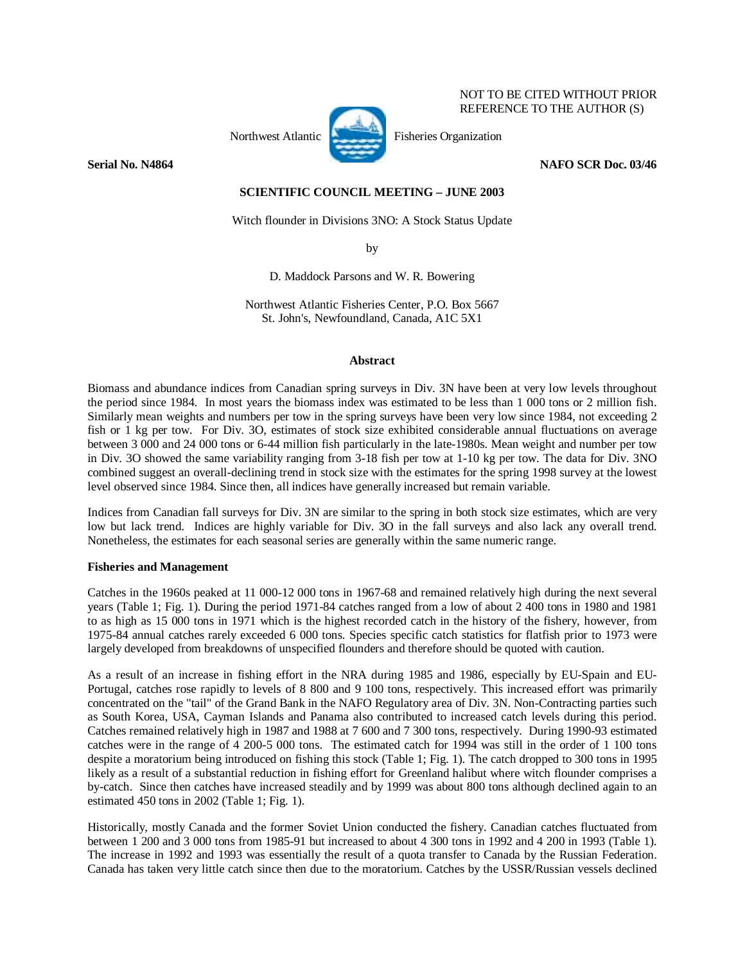

NOT TO BE CITED WITHOUT PRIOR REFERENCE TO THE AUTHOR (S)

## **Serial No. N4864** NAFO SCR Doc. 03/46

# **SCIENTIFIC COUNCIL MEETING – JUNE 2003**

Witch flounder in Divisions 3NO: A Stock Status Update

by

D. Maddock Parsons and W. R. Bowering

Northwest Atlantic Fisheries Center, P.O. Box 5667 St. John's, Newfoundland, Canada, A1C 5X1

## **Abstract**

Biomass and abundance indices from Canadian spring surveys in Div. 3N have been at very low levels throughout the period since 1984. In most years the biomass index was estimated to be less than 1 000 tons or 2 million fish. Similarly mean weights and numbers per tow in the spring surveys have been very low since 1984, not exceeding 2 fish or 1 kg per tow. For Div. 3O, estimates of stock size exhibited considerable annual fluctuations on average between 3 000 and 24 000 tons or 6-44 million fish particularly in the late-1980s. Mean weight and number per tow in Div. 3O showed the same variability ranging from 3-18 fish per tow at 1-10 kg per tow. The data for Div. 3NO combined suggest an overall-declining trend in stock size with the estimates for the spring 1998 survey at the lowest level observed since 1984. Since then, all indices have generally increased but remain variable.

Indices from Canadian fall surveys for Div. 3N are similar to the spring in both stock size estimates, which are very low but lack trend. Indices are highly variable for Div. 3O in the fall surveys and also lack any overall trend. Nonetheless, the estimates for each seasonal series are generally within the same numeric range.

### **Fisheries and Management**

Catches in the 1960s peaked at 11 000-12 000 tons in 1967-68 and remained relatively high during the next several years (Table 1; Fig. 1). During the period 1971-84 catches ranged from a low of about 2 400 tons in 1980 and 1981 to as high as 15 000 tons in 1971 which is the highest recorded catch in the history of the fishery, however, from 1975-84 annual catches rarely exceeded 6 000 tons. Species specific catch statistics for flatfish prior to 1973 were largely developed from breakdowns of unspecified flounders and therefore should be quoted with caution.

As a result of an increase in fishing effort in the NRA during 1985 and 1986, especially by EU-Spain and EU-Portugal, catches rose rapidly to levels of 8 800 and 9 100 tons, respectively. This increased effort was primarily concentrated on the "tail" of the Grand Bank in the NAFO Regulatory area of Div. 3N. Non-Contracting parties such as South Korea, USA, Cayman Islands and Panama also contributed to increased catch levels during this period. Catches remained relatively high in 1987 and 1988 at 7 600 and 7 300 tons, respectively. During 1990-93 estimated catches were in the range of 4 200-5 000 tons. The estimated catch for 1994 was still in the order of 1 100 tons despite a moratorium being introduced on fishing this stock (Table 1; Fig. 1). The catch dropped to 300 tons in 1995 likely as a result of a substantial reduction in fishing effort for Greenland halibut where witch flounder comprises a by-catch. Since then catches have increased steadily and by 1999 was about 800 tons although declined again to an estimated 450 tons in 2002 (Table 1; Fig. 1).

Historically, mostly Canada and the former Soviet Union conducted the fishery. Canadian catches fluctuated from between 1 200 and 3 000 tons from 1985-91 but increased to about 4 300 tons in 1992 and 4 200 in 1993 (Table 1). The increase in 1992 and 1993 was essentially the result of a quota transfer to Canada by the Russian Federation. Canada has taken very little catch since then due to the moratorium. Catches by the USSR/Russian vessels declined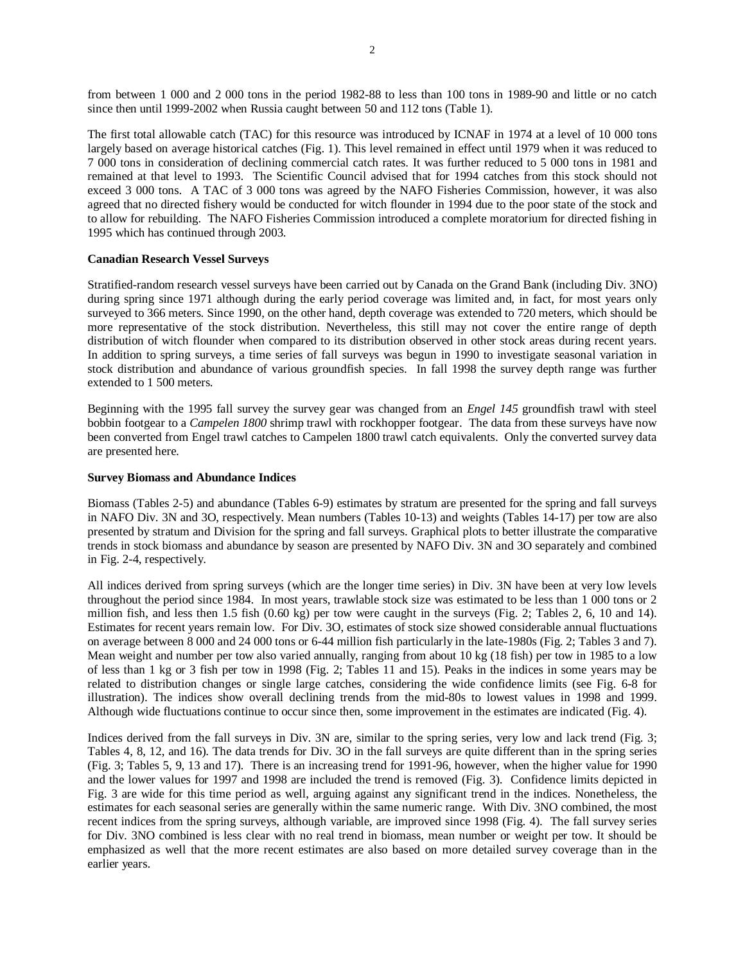from between 1 000 and 2 000 tons in the period 1982-88 to less than 100 tons in 1989-90 and little or no catch since then until 1999-2002 when Russia caught between 50 and 112 tons (Table 1).

The first total allowable catch (TAC) for this resource was introduced by ICNAF in 1974 at a level of 10 000 tons largely based on average historical catches (Fig. 1). This level remained in effect until 1979 when it was reduced to 7 000 tons in consideration of declining commercial catch rates. It was further reduced to 5 000 tons in 1981 and remained at that level to 1993. The Scientific Council advised that for 1994 catches from this stock should not exceed 3 000 tons. A TAC of 3 000 tons was agreed by the NAFO Fisheries Commission, however, it was also agreed that no directed fishery would be conducted for witch flounder in 1994 due to the poor state of the stock and to allow for rebuilding. The NAFO Fisheries Commission introduced a complete moratorium for directed fishing in 1995 which has continued through 2003.

### **Canadian Research Vessel Surveys**

Stratified-random research vessel surveys have been carried out by Canada on the Grand Bank (including Div. 3NO) during spring since 1971 although during the early period coverage was limited and, in fact, for most years only surveyed to 366 meters. Since 1990, on the other hand, depth coverage was extended to 720 meters, which should be more representative of the stock distribution. Nevertheless, this still may not cover the entire range of depth distribution of witch flounder when compared to its distribution observed in other stock areas during recent years. In addition to spring surveys, a time series of fall surveys was begun in 1990 to investigate seasonal variation in stock distribution and abundance of various groundfish species. In fall 1998 the survey depth range was further extended to 1 500 meters.

Beginning with the 1995 fall survey the survey gear was changed from an *Engel 145* groundfish trawl with steel bobbin footgear to a *Campelen 1800* shrimp trawl with rockhopper footgear. The data from these surveys have now been converted from Engel trawl catches to Campelen 1800 trawl catch equivalents. Only the converted survey data are presented here.

#### **Survey Biomass and Abundance Indices**

Biomass (Tables 2-5) and abundance (Tables 6-9) estimates by stratum are presented for the spring and fall surveys in NAFO Div. 3N and 3O, respectively. Mean numbers (Tables 10-13) and weights (Tables 14-17) per tow are also presented by stratum and Division for the spring and fall surveys. Graphical plots to better illustrate the comparative trends in stock biomass and abundance by season are presented by NAFO Div. 3N and 3O separately and combined in Fig. 2-4, respectively.

All indices derived from spring surveys (which are the longer time series) in Div. 3N have been at very low levels throughout the period since 1984. In most years, trawlable stock size was estimated to be less than 1 000 tons or 2 million fish, and less then 1.5 fish (0.60 kg) per tow were caught in the surveys (Fig. 2; Tables 2, 6, 10 and 14). Estimates for recent years remain low. For Div. 3O, estimates of stock size showed considerable annual fluctuations on average between 8 000 and 24 000 tons or 6-44 million fish particularly in the late-1980s (Fig. 2; Tables 3 and 7). Mean weight and number per tow also varied annually, ranging from about 10 kg (18 fish) per tow in 1985 to a low of less than 1 kg or 3 fish per tow in 1998 (Fig. 2; Tables 11 and 15). Peaks in the indices in some years may be related to distribution changes or single large catches, considering the wide confidence limits (see Fig. 6-8 for illustration). The indices show overall declining trends from the mid-80s to lowest values in 1998 and 1999. Although wide fluctuations continue to occur since then, some improvement in the estimates are indicated (Fig. 4).

Indices derived from the fall surveys in Div. 3N are, similar to the spring series, very low and lack trend (Fig. 3; Tables 4, 8, 12, and 16). The data trends for Div. 3O in the fall surveys are quite different than in the spring series (Fig. 3; Tables 5, 9, 13 and 17). There is an increasing trend for 1991-96, however, when the higher value for 1990 and the lower values for 1997 and 1998 are included the trend is removed (Fig. 3). Confidence limits depicted in Fig. 3 are wide for this time period as well, arguing against any significant trend in the indices. Nonetheless, the estimates for each seasonal series are generally within the same numeric range. With Div. 3NO combined, the most recent indices from the spring surveys, although variable, are improved since 1998 (Fig. 4). The fall survey series for Div. 3NO combined is less clear with no real trend in biomass, mean number or weight per tow. It should be emphasized as well that the more recent estimates are also based on more detailed survey coverage than in the earlier years.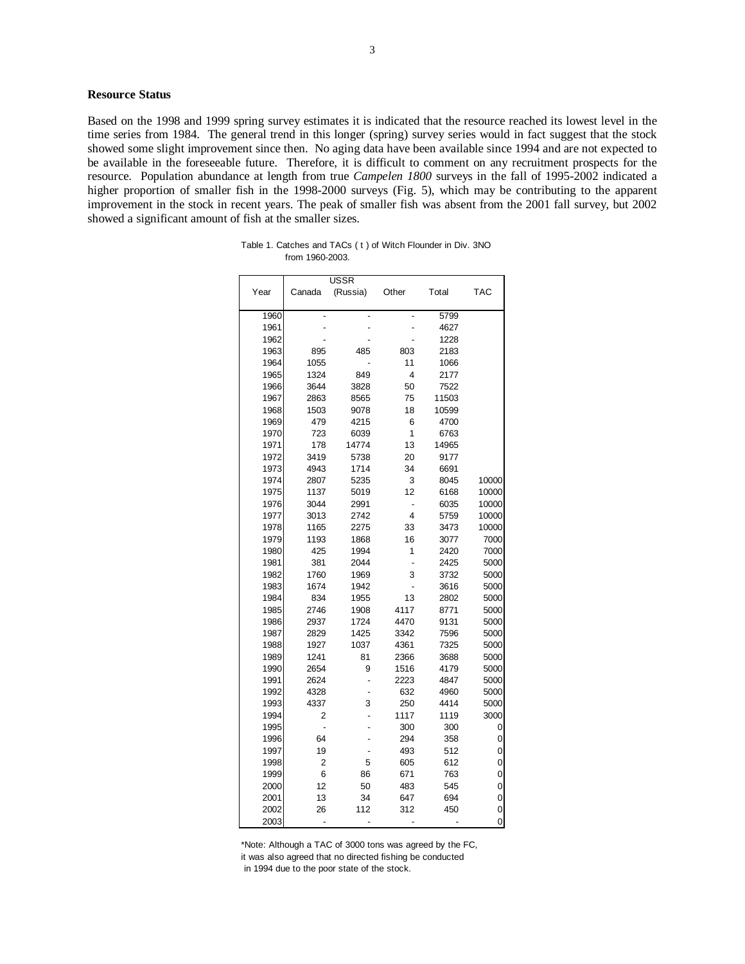## **Resource Status**

Based on the 1998 and 1999 spring survey estimates it is indicated that the resource reached its lowest level in the time series from 1984. The general trend in this longer (spring) survey series would in fact suggest that the stock showed some slight improvement since then. No aging data have been available since 1994 and are not expected to be available in the foreseeable future. Therefore, it is difficult to comment on any recruitment prospects for the resource. Population abundance at length from true *Campelen 1800* surveys in the fall of 1995-2002 indicated a higher proportion of smaller fish in the 1998-2000 surveys (Fig. 5), which may be contributing to the apparent improvement in the stock in recent years. The peak of smaller fish was absent from the 2001 fall survey, but 2002 showed a significant amount of fish at the smaller sizes.

|              |              | <b>USSR</b>    |              |              |                |
|--------------|--------------|----------------|--------------|--------------|----------------|
| Year         | Canada       | (Russia)       | Other        | Total        | <b>TAC</b>     |
| 1960         |              |                |              | 5799         |                |
| 1961         |              |                |              | 4627         |                |
| 1962         |              |                |              | 1228         |                |
| 1963         | 895          | 485            | 803          | 2183         |                |
| 1964         | 1055         |                | 11           | 1066         |                |
| 1965         | 1324         | 849            | 4            | 2177         |                |
| 1966         | 3644         | 3828           | 50           | 7522         |                |
| 1967         | 2863         | 8565           | 75           | 11503        |                |
| 1968         | 1503         | 9078           | 18           | 10599        |                |
| 1969         | 479          | 4215           | 6            | 4700         |                |
| 1970         | 723          | 6039           | 1            | 6763         |                |
| 1971         | 178          | 14774          | 13           | 14965        |                |
| 1972         | 3419         | 5738           | 20           | 9177         |                |
| 1973         | 4943         | 1714           | 34           | 6691         |                |
| 1974         | 2807         | 5235           | 3            | 8045         | 10000          |
| 1975         | 1137         | 5019           | 12           | 6168         | 10000          |
| 1976         | 3044         | 2991           | ÷            | 6035         | 10000          |
| 1977         | 3013         | 2742           | 4            | 5759         | 10000          |
| 1978         | 1165         | 2275           | 33           | 3473         | 10000          |
| 1979         | 1193         | 1868           | 16           | 3077         | 7000           |
| 1980         | 425          | 1994           | 1            | 2420         | 7000           |
| 1981         | 381          | 2044           |              | 2425         | 5000           |
| 1982         | 1760         | 1969           | 3            | 3732         | 5000           |
| 1983         | 1674         | 1942           | -            | 3616         | 5000           |
| 1984         | 834          | 1955           | 13           | 2802         | 5000           |
| 1985         | 2746         | 1908           | 4117         | 8771         | 5000           |
| 1986         | 2937         | 1724           | 4470         | 9131         | 5000           |
| 1987<br>1988 | 2829<br>1927 | 1425<br>1037   | 3342<br>4361 | 7596<br>7325 | 5000<br>5000   |
| 1989         | 1241         | 81             | 2366         | 3688         | 5000           |
| 1990         | 2654         | 9              | 1516         | 4179         | 5000           |
| 1991         | 2624         | $\overline{a}$ | 2223         | 4847         | 5000           |
| 1992         | 4328         |                | 632          | 4960         | 5000           |
| 1993         | 4337         | 3              | 250          | 4414         | 5000           |
| 1994         | 2            |                | 1117         | 1119         | 3000           |
| 1995         |              |                | 300          | 300          | 0              |
| 1996         | 64           |                | 294          | 358          | 0              |
| 1997         | 19           |                | 493          | 512          | 0              |
| 1998         | 2            | 5              | 605          | 612          | 0              |
| 1999         | 6            | 86             | 671          | 763          | 0              |
| 2000         | 12           | 50             | 483          | 545          | 0              |
| 2001         | 13           | 34             | 647          | 694          | 0              |
| 2002         | 26           | 112            | 312          | 450          | $\overline{0}$ |
| 2003         |              |                |              |              | $\overline{0}$ |

| Table 1. Catches and TACs (t) of Witch Flounder in Div. 3NO |  |  |
|-------------------------------------------------------------|--|--|
| from 1960-2003.                                             |  |  |

\*Note: Although a TAC of 3000 tons was agreed by the FC, it was also agreed that no directed fishing be conducted in 1994 due to the poor state of the stock.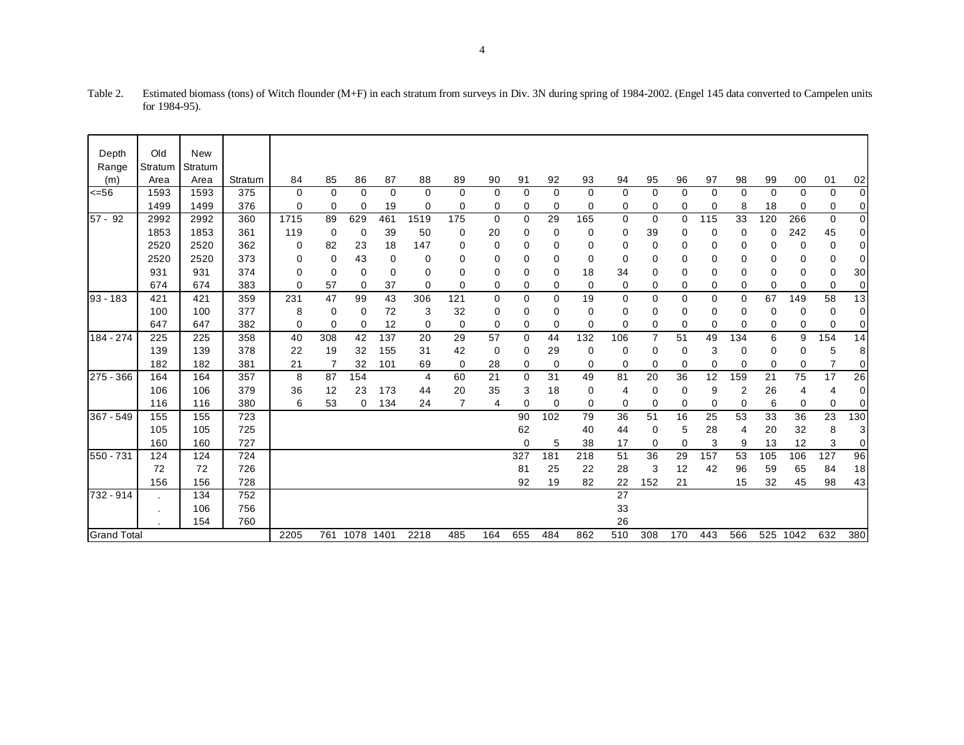| Depth              | Old     | <b>New</b> |         |      |          |             |          |             |          |          |     |             |             |          |                |          |          |             |          |             |                |                  |
|--------------------|---------|------------|---------|------|----------|-------------|----------|-------------|----------|----------|-----|-------------|-------------|----------|----------------|----------|----------|-------------|----------|-------------|----------------|------------------|
| Range              | Stratum | Stratum    |         |      |          |             |          |             |          |          |     |             |             |          |                |          |          |             |          |             |                |                  |
| (m)                | Area    | Area       | Stratum | 84   | 85       | 86          | 87       | 88          | 89       | 90       | 91  | 92          | 93          | 94       | 95             | 96       | 97       | 98          | 99       | 00          | 01             | 02               |
| 556                | 1593    | 1593       | 375     | 0    | $\Omega$ | $\mathbf 0$ | $\Omega$ | $\mathbf 0$ | 0        | $\Omega$ | 0   | $\Omega$    | $\mathbf 0$ | $\Omega$ | $\mathbf 0$    | $\Omega$ | $\Omega$ | $\mathbf 0$ | $\Omega$ | $\mathbf 0$ | 0              | 0                |
|                    | 1499    | 1499       | 376     | 0    | 0        | $\mathbf 0$ | 19       | 0           | 0        | 0        | 0   | 0           | 0           | 0        | 0              | 0        | 0        | 8           | 18       | 0           | 0              | 0                |
| $57 - 92$          | 2992    | 2992       | 360     | 1715 | 89       | 629         | 461      | 1519        | 175      | 0        | 0   | 29          | 165         | 0        | 0              | 0        | 115      | 33          | 120      | 266         | 0              | $\overline{0}$   |
|                    | 1853    | 1853       | 361     | 119  | 0        | $\mathbf 0$ | 39       | 50          | 0        | 20       | 0   | 0           | 0           | 0        | 39             | 0        | 0        | 0           | 0        | 242         | 45             | 0                |
|                    | 2520    | 2520       | 362     | 0    | 82       | 23          | 18       | 147         | 0        | 0        | 0   | 0           | 0           | 0        | 0              | 0        | 0        | 0           | 0        | 0           | 0              | 0                |
|                    | 2520    | 2520       | 373     | 0    | $\Omega$ | 43          | 0        | 0           | 0        | 0        | 0   | $\Omega$    | 0           | 0        | 0              | 0        | 0        | 0           | 0        | 0           | 0              | 0                |
|                    | 931     | 931        | 374     | 0    | 0        | 0           | $\Omega$ | 0           | $\Omega$ | 0        | 0   | 0           | 18          | 34       | 0              | $\Omega$ | 0        | 0           | 0        | 0           | 0              | 30               |
|                    | 674     | 674        | 383     | 0    | 57       | 0           | 37       | 0           | 0        | 0        | 0   | 0           | 0           | 0        | 0              | 0        | 0        | 0           | 0        | 0           | 0              | 0                |
| $93 - 183$         | 421     | 421        | 359     | 231  | 47       | 99          | 43       | 306         | 121      | $\Omega$ | 0   | 0           | 19          | $\Omega$ | 0              | $\Omega$ | 0        | 0           | 67       | 149         | 58             | $\overline{13}$  |
|                    | 100     | 100        | 377     | 8    | 0        | 0           | 72       | 3           | 32       | 0        | 0   | 0           | 0           | 0        | 0              | 0        | 0        | 0           | 0        | 0           | 0              | 0                |
|                    | 647     | 647        | 382     | 0    | $\Omega$ | 0           | 12       | 0           | 0        | 0        | 0   | $\Omega$    | $\Omega$    | 0        | 0              | 0        | $\Omega$ | 0           | 0        | 0           | 0              | 0                |
| 184 - 274          | 225     | 225        | 358     | 40   | 308      | 42          | 137      | 20          | 29       | 57       | 0   | 44          | 132         | 106      | $\overline{7}$ | 51       | 49       | 134         | 6        | 9           | 154            | 14               |
|                    | 139     | 139        | 378     | 22   | 19       | 32          | 155      | 31          | 42       | 0        | 0   | 29          | 0           | 0        | 0              | 0        | 3        | 0           | 0        | 0           | 5              | 8                |
|                    | 182     | 182        | 381     | 21   | 7        | 32          | 101      | 69          | 0        | 28       | 0   | $\mathbf 0$ | 0           | 0        | 0              | 0        | 0        | 0           | 0        | 0           | $\overline{7}$ | 0                |
| 275 - 366          | 164     | 164        | 357     | 8    | 87       | 154         |          | 4           | 60       | 21       | 0   | 31          | 49          | 81       | 20             | 36       | 12       | 159         | 21       | 75          | 17             | 26               |
|                    | 106     | 106        | 379     | 36   | 12       | 23          | 173      | 44          | 20       | 35       | 3   | 18          | 0           | 4        | 0              | 0        | 9        | 2           | 26       | 4           | 4              | 0                |
|                    | 116     | 116        | 380     | 6    | 53       | 0           | 134      | 24          | 7        | 4        | 0   | $\mathbf 0$ | 0           | $\Omega$ | 0              | 0        | 0        | 0           | 6        | 0           | 0              | 0                |
| 367 - 549          | 155     | 155        | 723     |      |          |             |          |             |          |          | 90  | 102         | 79          | 36       | 51             | 16       | 25       | 53          | 33       | 36          | 23             | 130              |
|                    | 105     | 105        | 725     |      |          |             |          |             |          |          | 62  |             | 40          | 44       | 0              | 5        | 28       | 4           | 20       | 32          | 8              | 3                |
|                    | 160     | 160        | 727     |      |          |             |          |             |          |          | 0   | 5           | 38          | 17       | 0              | $\Omega$ | 3        | 9           | 13       | 12          | 3              | $\boldsymbol{0}$ |
| 550 - 731          | 124     | 124        | 724     |      |          |             |          |             |          |          | 327 | 181         | 218         | 51       | 36             | 29       | 157      | 53          | 105      | 106         | 127            | 96               |
|                    | 72      | 72         | 726     |      |          |             |          |             |          |          | 81  | 25          | 22          | 28       | 3              | 12       | 42       | 96          | 59       | 65          | 84             | 18               |
|                    | 156     | 156        | 728     |      |          |             |          |             |          |          | 92  | 19          | 82          | 22       | 152            | 21       |          | 15          | 32       | 45          | 98             | 43               |
| 732 - 914          |         | 134        | 752     |      |          |             |          |             |          |          |     |             |             | 27       |                |          |          |             |          |             |                |                  |
|                    |         | 106        | 756     |      |          |             |          |             |          |          |     |             |             | 33       |                |          |          |             |          |             |                |                  |
|                    |         | 154        | 760     |      |          |             |          |             |          |          |     |             |             | 26       |                |          |          |             |          |             |                |                  |
| <b>Grand Total</b> |         |            |         | 2205 | 761      | 1078        | 1401     | 2218        | 485      | 164      | 655 | 484         | 862         | 510      | 308            | 170      | 443      | 566         | 525      | 1042        | 632            | 380              |

| Table 2. | Estimated biomass (tons) of Witch flounder (M+F) in each stratum from surveys in Div. 3N during spring of 1984-2002. (Engel 145 data converted to Campelen units |
|----------|------------------------------------------------------------------------------------------------------------------------------------------------------------------|
|          | for 1984-95).                                                                                                                                                    |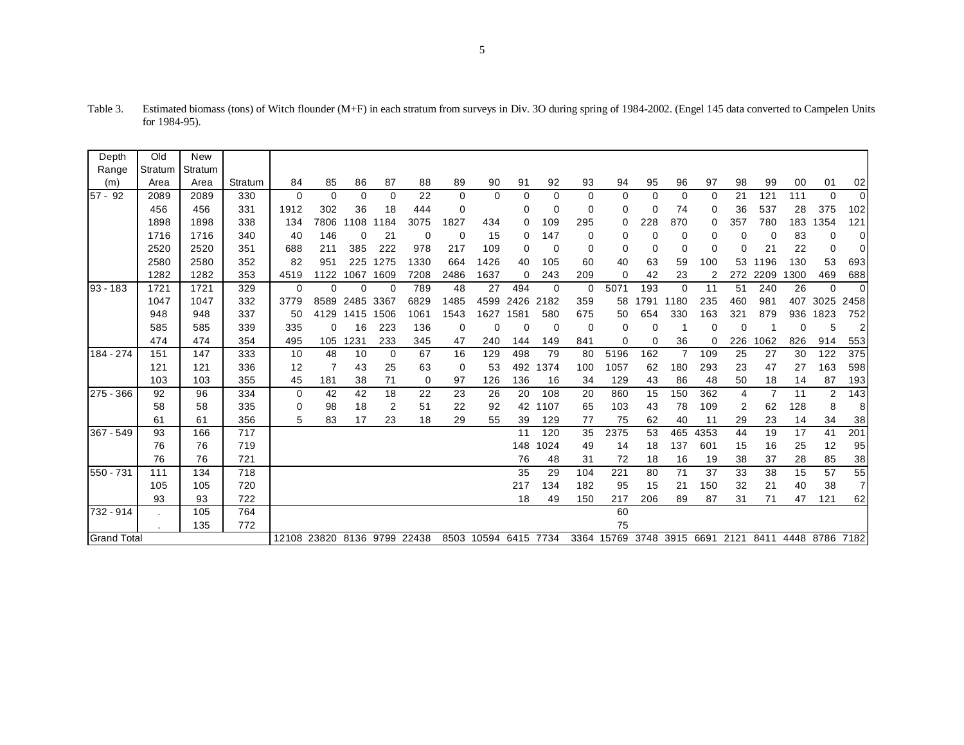| Depth       | Old                | New     |         |                             |          |             |          |      |          |                      |           |             |          |            |          |      |          |                |                |      |                                         |             |
|-------------|--------------------|---------|---------|-----------------------------|----------|-------------|----------|------|----------|----------------------|-----------|-------------|----------|------------|----------|------|----------|----------------|----------------|------|-----------------------------------------|-------------|
| Range       | Stratum            | Stratum |         |                             |          |             |          |      |          |                      |           |             |          |            |          |      |          |                |                |      |                                         |             |
| (m)         | Area               | Area    | Stratum | 84                          | 85       | 86          | 87       | 88   | 89       | 90                   | 91        | 92          | 93       | 94         | 95       | 96   | 97       | 98             | 99             | 00   | 01                                      | 02          |
| $57 - 92$   | 2089               | 2089    | 330     | 0                           | $\Omega$ | $\mathbf 0$ | $\Omega$ | 22   | $\Omega$ | $\Omega$             | 0         | $\Omega$    | $\Omega$ | $\Omega$   | $\Omega$ | 0    | 0        | 21             | 121            | 111  | $\Omega$                                | $\mathbf 0$ |
|             | 456                | 456     | 331     | 1912                        | 302      | 36          | 18       | 444  | $\Omega$ |                      | 0         | 0           | 0        | 0          | 0        | 74   | 0        | 36             | 537            | 28   | 375                                     | 102         |
|             | 1898               | 1898    | 338     | 134                         | 7806     | 1108        | 1184     | 3075 | 1827     | 434                  | 0         | 109         | 295      | 0          | 228      | 870  | 0        | 357            | 780            | 183  | 1354                                    | 121         |
|             | 1716               | 1716    | 340     | 40                          | 146      | $\Omega$    | 21       | 0    | 0        | 15                   | 0         | 147         | 0        | 0          | 0        | 0    | 0        | 0              | 0              | 83   | 0                                       | 0           |
|             | 2520               | 2520    | 351     | 688                         | 211      | 385         | 222      | 978  | 217      | 109                  | 0         | $\mathbf 0$ | 0        | $\Omega$   | 0        | 0    | 0        | 0              | 21             | 22   | $\Omega$                                | 0           |
|             | 2580               | 2580    | 352     | 82                          | 951      | 225         | 1275     | 1330 | 664      | 1426                 | 40        | 105         | 60       | 40         | 63       | 59   | 100      | 53             | 1196           | 130  | 53                                      | 693         |
|             | 1282               | 1282    | 353     | 4519                        | 1122     | 1067        | 1609     | 7208 | 2486     | 1637                 | 0         | 243         | 209      | 0          | 42       | 23   | 2        | 272            | 2209           | 1300 | 469                                     | 688         |
| 93 - 183    | 1721               | 1721    | 329     | 0                           | $\Omega$ | $\Omega$    | $\Omega$ | 789  | 48       | 27                   | 494       | $\mathbf 0$ | 0        | 5071       | 193      | 0    | 11       | 51             | 240            | 26   | $\Omega$                                | $\mathbf 0$ |
|             | 1047               | 1047    | 332     | 3779                        | 8589     | 2485        | 3367     | 6829 | 1485     |                      | 4599 2426 | 2182        | 359      | 58         | 1791     | 1180 | 235      | 460            | 981            | 407  | 3025                                    | 2458        |
|             | 948                | 948     | 337     | 50                          | 4129     | 1415        | 1506     | 1061 | 1543     | 1627                 | 1581      | 580         | 675      | 50         | 654      | 330  | 163      | 321            | 879            | 936  | 1823                                    | 752         |
|             | 585                | 585     | 339     | 335                         | $\Omega$ | 16          | 223      | 136  | 0        | C                    | 0         | $\mathbf 0$ | 0        | $\Omega$   | 0        |      | $\Omega$ | $\mathbf 0$    |                | 0    | 5                                       | 2           |
|             | 474                | 474     | 354     | 495                         | 105      | 1231        | 233      | 345  | 47       | 240                  | 144       | 149         | 841      | $\Omega$   | 0        | 36   | 0        | 226            | 1062           | 826  | 914                                     | 553         |
| 184 - 274   | 151                | 147     | 333     | 10                          | 48       | 10          | 0        | 67   | 16       | 129                  | 498       | 79          | 80       | 5196       | 162      | 7    | 109      | 25             | 27             | 30   | 122                                     | 375         |
|             | 121                | 121     | 336     | 12                          | 7        | 43          | 25       | 63   | 0        | 53                   | 492       | 1374        | 100      | 1057       | 62       | 180  | 293      | 23             | 47             | 27   | 163                                     | 598         |
|             | 103                | 103     | 355     | 45                          | 181      | 38          | 71       | 0    | 97       | 126                  | 136       | 16          | 34       | 129        | 43       | 86   | 48       | 50             | 18             | 14   | 87                                      | 193         |
| $275 - 366$ | 92                 | 96      | 334     | 0                           | 42       | 42          | 18       | 22   | 23       | 26                   | 20        | 108         | 20       | 860        | 15       | 150  | 362      | 4              | $\overline{7}$ | 11   | $\overline{2}$                          | 143         |
|             | 58                 | 58      | 335     | 0                           | 98       | 18          | 2        | 51   | 22       | 92                   | 42        | 1107        | 65       | 103        | 43       | 78   | 109      | $\overline{2}$ | 62             | 128  | 8                                       | 8           |
|             | 61                 | 61      | 356     | 5                           | 83       | 17          | 23       | 18   | 29       | 55                   | 39        | 129         | 77       | 75         | 62       | 40   | 11       | 29             | 23             | 14   | 34                                      | 38          |
| 367 - 549   | 93                 | 166     | 717     |                             |          |             |          |      |          |                      | 11        | 120         | 35       | 2375       | 53       | 465  | 4353     | 44             | 19             | 17   | 41                                      | 201         |
|             | 76                 | 76      | 719     |                             |          |             |          |      |          |                      | 148       | 1024        | 49       | 14         | 18       | 137  | 601      | 15             | 16             | 25   | 12                                      | 95          |
|             | 76                 | 76      | 721     |                             |          |             |          |      |          |                      | 76        | 48          | 31       | 72         | 18       | 16   | 19       | 38             | 37             | 28   | 85                                      | 38          |
| 550 - 731   | 111                | 134     | 718     |                             |          |             |          |      |          |                      | 35        | 29          | 104      | 221        | 80       | 71   | 37       | 33             | 38             | 15   | 57                                      | 55          |
|             | 105                | 105     | 720     |                             |          |             |          |      |          |                      | 217       | 134         | 182      | 95         | 15       | 21   | 150      | 32             | 21             | 40   | 38                                      | 7           |
|             | 93                 | 93      | 722     |                             |          |             |          |      |          |                      | 18        | 49          | 150      | 217        | 206      | 89   | 87       | 31             | 71             | 47   | 121                                     | 62          |
| 732 - 914   |                    | 105     | 764     |                             |          |             |          |      |          |                      |           |             |          | 60         |          |      |          |                |                |      |                                         |             |
|             | 772<br>135         |         |         |                             |          |             |          |      |          |                      |           |             |          | 75         |          |      |          |                |                |      |                                         |             |
|             | <b>Grand Total</b> |         |         | 12108 23820 8136 9799 22438 |          |             |          |      |          | 8503 10594 6415 7734 |           |             |          | 3364 15769 |          |      |          |                |                |      | 3748 3915 6691 2121 8411 4448 8786 7182 |             |

Table 3. Estimated biomass (tons) of Witch flounder (M+F) in each stratum from surveys in Div. 3O during spring of 1984-2002. (Engel 145 data converted to Campelen Units for 1984-95).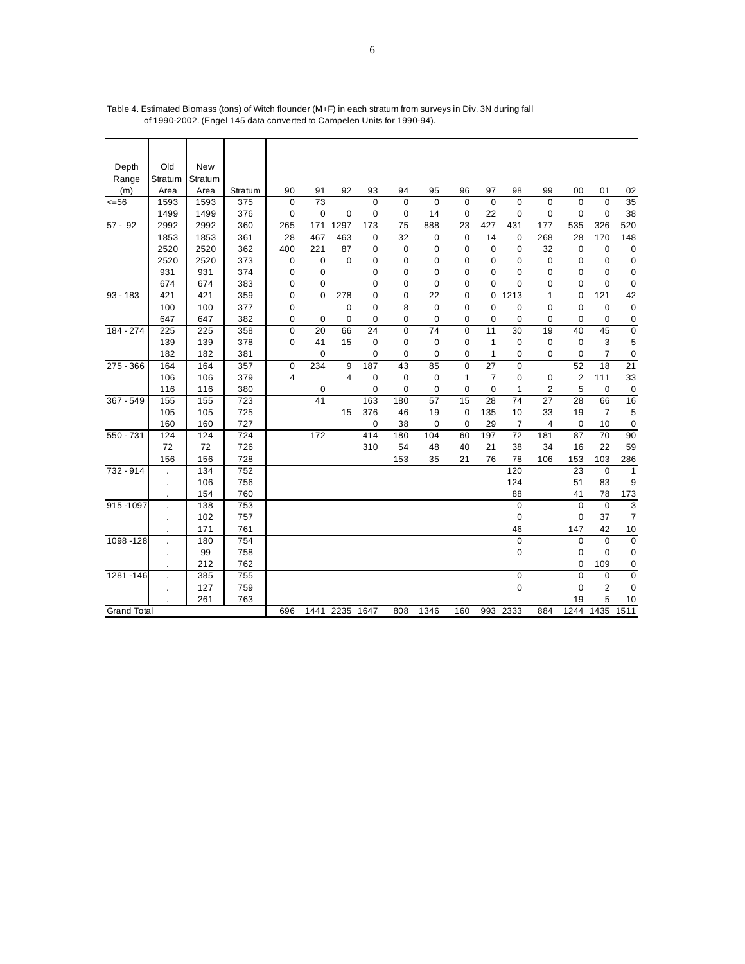| Depth              | Old     | New     |         |             |             |                |                 |             |                 |              |                |                |              |                  |                |                  |
|--------------------|---------|---------|---------|-------------|-------------|----------------|-----------------|-------------|-----------------|--------------|----------------|----------------|--------------|------------------|----------------|------------------|
| Range              | Stratum | Stratum |         |             |             |                |                 |             |                 |              |                |                |              |                  |                |                  |
| (m)                | Area    | Area    | Stratum | 90          | 91          | 92             | 93              | 94          | 95              | 96           | 97             | 98             | 99           | 00               | 01             | 02               |
| 556                | 1593    | 1593    | 375     | 0           | 73          |                | $\mathbf 0$     | $\mathbf 0$ | $\mathbf 0$     | $\mathbf 0$  | $\mathbf 0$    | $\mathbf 0$    | $\mathbf 0$  | $\mathbf 0$      | $\mathbf 0$    | $\overline{35}$  |
|                    | 1499    | 1499    | 376     | $\mathbf 0$ | $\mathbf 0$ | 0              | 0               | 0           | 14              | $\mathbf 0$  | 22             | $\mathbf 0$    | 0            | $\mathbf 0$      | 0              | 38               |
| $57 - 92$          | 2992    | 2992    | 360     | 265         | 171         | 1297           | 173             | 75          | 888             | 23           | 427            | 431            | 177          | 535              | 326            | 520              |
|                    | 1853    | 1853    | 361     | 28          | 467         | 463            | $\mathbf 0$     | 32          | $\mathbf 0$     | $\pmb{0}$    | 14             | $\mathbf 0$    | 268          | 28               | 170            | 148              |
|                    | 2520    | 2520    | 362     | 400         | 221         | 87             | 0               | 0           | 0               | 0            | $\mathbf 0$    | $\mathbf 0$    | 32           | 0                | 0              | $\mathbf 0$      |
|                    | 2520    | 2520    | 373     | 0           | $\mathbf 0$ | $\mathbf 0$    | 0               | 0           | 0               | 0            | 0              | 0              | 0            | 0                | 0              | $\mathbf 0$      |
|                    | 931     | 931     | 374     | 0           | $\mathbf 0$ |                | 0               | 0           | 0               | 0            | 0              | 0              | 0            | 0                | $\mathbf 0$    | $\mathbf 0$      |
|                    | 674     | 674     | 383     | 0           | $\mathbf 0$ |                | 0               | 0           | $\mathbf 0$     | 0            | $\mathbf 0$    | $\mathbf 0$    | 0            | $\mathbf 0$      | 0              | $\mathbf 0$      |
| $93 - 183$         | 421     | 421     | 359     | 0           | $\mathbf 0$ | 278            | $\mathbf 0$     | $\mathbf 0$ | $\overline{22}$ | $\mathbf 0$  | $\mathbf 0$    | 1213           | $\mathbf{1}$ | $\mathbf 0$      | 121            | 42               |
|                    | 100     | 100     | 377     | 0           |             | $\mathbf 0$    | $\mathbf 0$     | 8           | $\pmb{0}$       | 0            | $\mathbf 0$    | $\mathbf 0$    | 0            | $\mathbf 0$      | $\mathbf 0$    | $\mathbf 0$      |
|                    | 647     | 647     | 382     | 0           | $\mathbf 0$ | 0              | 0               | 0           | 0               | 0            | $\mathbf 0$    | $\mathbf 0$    | 0            | $\mathbf 0$      | 0              | $\pmb{0}$        |
| 184 - 274          | 225     | 225     | 358     | $\pmb{0}$   | 20          | 66             | $\overline{24}$ | $\mathbf 0$ | $\overline{74}$ | $\mathbf 0$  | 11             | 30             | 19           | 40               | 45             | $\overline{0}$   |
|                    | 139     | 139     | 378     | $\mathbf 0$ | 41          | 15             | $\mathbf 0$     | 0           | 0               | 0            | 1              | 0              | 0            | $\mathbf 0$      | 3              | $\sqrt{5}$       |
|                    | 182     | 182     | 381     |             | $\mathbf 0$ |                | 0               | 0           | $\mathbf 0$     | 0            | $\mathbf{1}$   | 0              | 0            | $\mathbf 0$      | $\overline{7}$ | $\pmb{0}$        |
| 275 - 366          | 164     | 164     | 357     | 0           | 234         | 9              | 187             | 43          | 85              | $\mathbf 0$  | 27             | $\mathbf 0$    |              | 52               | 18             | $\overline{21}$  |
|                    | 106     | 106     | 379     | 4           |             | $\overline{4}$ | $\mathbf 0$     | $\mathbf 0$ | $\mathbf 0$     | $\mathbf{1}$ | $\overline{7}$ | $\mathbf 0$    | 0            | $\boldsymbol{2}$ | 111            | 33               |
|                    | 116     | 116     | 380     |             | $\mathbf 0$ |                | 0               | 0           | 0               | 0            | $\mathbf 0$    | 1              | 2            | 5                | 0              | $\boldsymbol{0}$ |
| 367 - 549          | 155     | 155     | 723     |             | 41          |                | 163             | 180         | 57              | 15           | 28             | 74             | 27           | 28               | 66             | 16               |
|                    | 105     | 105     | 725     |             |             | 15             | 376             | 46          | 19              | $\mathbf 0$  | 135            | 10             | 33           | 19               | $\overline{7}$ | $\sqrt{5}$       |
|                    | 160     | 160     | 727     |             |             |                | $\mathbf 0$     | 38          | $\mathbf 0$     | $\mathbf 0$  | 29             | $\overline{7}$ | 4            | $\mathbf 0$      | 10             | $\mathbf 0$      |
| $550 - 731$        | 124     | 124     | 724     |             | 172         |                | 414             | 180         | 104             | 60           | 197            | 72             | 181          | 87               | 70             | 90               |
|                    | 72      | 72      | 726     |             |             |                | 310             | 54          | 48              | 40           | 21             | 38             | 34           | 16               | 22             | 59               |
|                    | 156     | 156     | 728     |             |             |                |                 | 153         | 35              | 21           | 76             | 78             | 106          | 153              | 103            | 286              |
| 732 - 914          |         | 134     | 752     |             |             |                |                 |             |                 |              |                | 120            |              | 23               | $\mathbf 0$    | $\mathbf{1}$     |
|                    |         | 106     | 756     |             |             |                |                 |             |                 |              |                | 124            |              | 51               | 83             | 9                |
|                    |         | 154     | 760     |             |             |                |                 |             |                 |              |                | 88             |              | 41               | 78             | 173              |
| 915-1097           |         | 138     | 753     |             |             |                |                 |             |                 |              |                | $\mathbf 0$    |              | $\mathbf 0$      | $\mathbf 0$    | 3                |
|                    | ÷.      | 102     | 757     |             |             |                |                 |             |                 |              |                | 0              |              | $\mathbf 0$      | 37             | 7                |
|                    |         | 171     | 761     |             |             |                |                 |             |                 |              |                | 46             |              | 147              | 42             | 10               |
| 1098-128           |         | 180     | 754     |             |             |                |                 |             |                 |              |                | $\pmb{0}$      |              | $\mathbf 0$      | $\mathbf 0$    | $\overline{0}$   |
|                    |         | 99      | 758     |             |             |                |                 |             |                 |              |                | 0              |              | 0                | 0              | $\mathbf 0$      |
|                    |         | 212     | 762     |             |             |                |                 |             |                 |              |                |                |              | 0                | 109            | 0                |
| 1281-146           |         | 385     | 755     |             |             |                |                 |             |                 |              |                | $\overline{0}$ |              | $\overline{0}$   | $\mathbf 0$    | $\overline{0}$   |
|                    |         | 127     | 759     |             |             |                |                 |             |                 |              |                | 0              |              | $\mathbf 0$      | $\overline{c}$ | 0                |
|                    |         | 261     | 763     |             |             |                |                 |             |                 |              |                |                |              | 19               | 5              | 10               |
| <b>Grand Total</b> |         |         |         | 696         |             | 1441 2235 1647 |                 | 808         | 1346            | 160          | 993            | 2333           | 884          | 1244             | 1435           | 1511             |

Table 4. Estimated Biomass (tons) of Witch flounder (M+F) in each stratum from surveys in Div. 3N during fall of 1990-2002. (Engel 145 data converted to Campelen Units for 1990-94).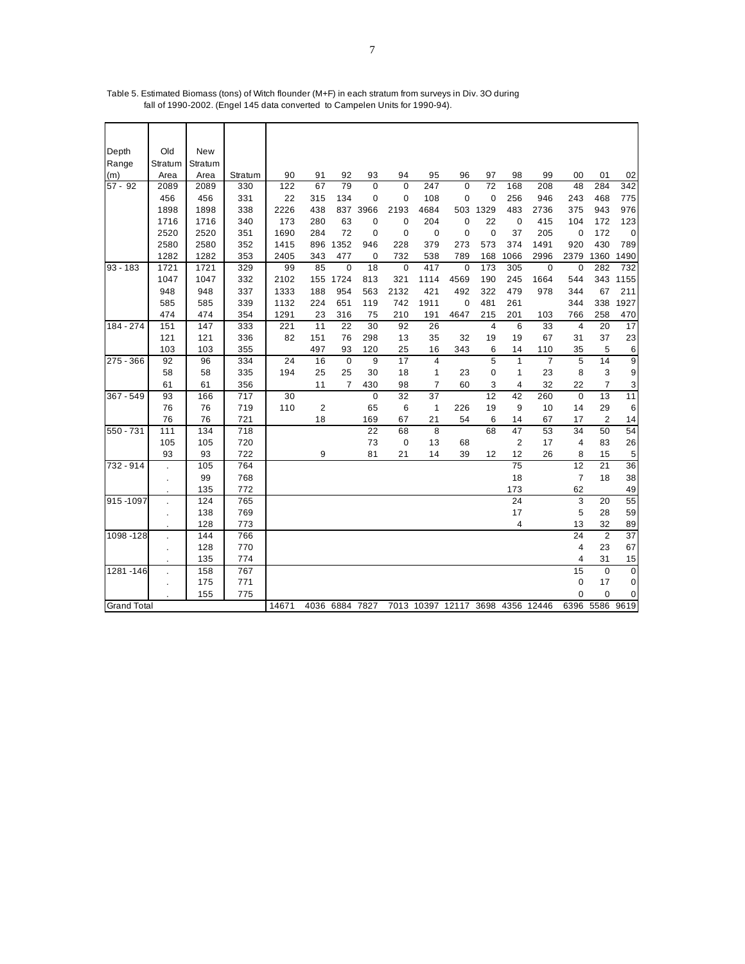| Depth                | Old       | <b>New</b> |            |                 |     |                |             |             |          |                                  |                 |                      |                |                     |                |                |
|----------------------|-----------|------------|------------|-----------------|-----|----------------|-------------|-------------|----------|----------------------------------|-----------------|----------------------|----------------|---------------------|----------------|----------------|
| Range                | Stratum   | Stratum    |            |                 |     |                |             |             |          |                                  |                 |                      |                |                     |                |                |
| (m)                  | Area      | Area       | Stratum    | 90              | 91  | 92             | 93          | 94          | 95       | 96                               | 97              | 98                   | 99             | 00                  | 01             | 02             |
| $\overline{57}$ - 92 | 2089      | 2089       | 330        | 122             | 67  | 79             | $\pmb{0}$   | $\mathbf 0$ | 247      | $\mathbf 0$                      | $\overline{72}$ | 168                  | 208            | 48                  | 284            | 342            |
|                      | 456       | 456        | 331        | 22              | 315 | 134            | 0           | 0           | 108      | 0                                | $\mathbf 0$     | 256                  | 946            | 243                 | 468            | 775            |
|                      | 1898      | 1898       | 338        | 2226            | 438 |                | 837 3966    | 2193        | 4684     | 503                              | 1329            | 483                  | 2736           | 375                 | 943            | 976            |
|                      | 1716      | 1716       | 340        | 173             | 280 | 63             | 0           | 0           | 204      | 0                                | 22              | $\mathbf 0$          | 415            | 104                 | 172            | 123            |
|                      | 2520      | 2520       | 351        | 1690            | 284 | 72             | 0           | 0           | 0        | $\mathbf 0$                      | $\mathbf 0$     | 37                   | 205            | $\mathbf 0$         | 172            | $\mathbf 0$    |
|                      | 2580      | 2580       | 352        | 1415            | 896 | 1352           | 946         | 228         | 379      | 273                              | 573             | 374                  | 1491           | 920                 | 430            | 789            |
|                      | 1282      | 1282       | 353        | 2405            | 343 | 477            | $\mathbf 0$ | 732         | 538      | 789                              | 168             | 1066                 | 2996           | 2379                | 1360           | 1490           |
| $93 - 183$           | 1721      | 1721       | 329        | 99              | 85  | $\mathbf 0$    | 18          | 0           | 417      | $\mathbf 0$                      | 173             | 305                  | 0              | $\mathbf 0$         | 282            | 732            |
|                      | 1047      | 1047       | 332        | 2102            | 155 | 1724           | 813         | 321         | 1114     | 4569                             | 190             | 245                  | 1664           | 544                 |                | 343 1155       |
|                      | 948       | 948        | 337        | 1333            | 188 | 954            | 563         | 2132        | 421      | 492                              | 322             | 479                  | 978            | 344                 | 67             | 211            |
|                      | 585       | 585        | 339        | 1132            | 224 | 651            | 119         | 742         | 1911     | $\pmb{0}$                        | 481             | 261                  |                | 344                 | 338            | 1927           |
|                      | 474       | 474        | 354        | 1291            | 23  | 316            | 75          | 210         | 191      | 4647                             | 215             | 201                  | 103            | 766                 | 258            | 470            |
| 184 - 274            | 151       | 147        | 333        | 221             | 11  | 22             | 30          | 92          | 26       |                                  | 4               | 6                    | 33             | $\overline{4}$      | 20             | 17             |
|                      | 121       | 121        | 336        | 82              | 151 | 76             | 298         | 13          | 35       | 32                               | 19              | 19                   | 67             | 31                  | 37             | 23             |
|                      | 103       | 103        | 355        |                 | 497 | 93             | 120         | 25          | 16       | 343                              | 6               | 14                   | 110            | 35                  | 5              | 6              |
| 275 - 366            | 92        | 96         | 334        | $\overline{24}$ | 16  | $\mathbf 0$    | 9           | 17          | 4        |                                  | $\overline{5}$  | $\mathbf{1}$         | $\overline{7}$ | 5                   | 14             | $\overline{9}$ |
|                      | 58        | 58         | 335        | 194             | 25  | 25             | 30          | 18          | 1        | 23                               | 0               | 1                    | 23             | 8                   | 3              | 9              |
|                      | 61        | 61         | 356        |                 | 11  | $\overline{7}$ | 430         | 98          | 7        | 60                               | 3               | 4                    | 32             | 22                  | 7              | 3              |
| $367 - 549$          | 93        | 166        | 717        | 30              |     |                | $\pmb{0}$   | 32          | 37       |                                  | 12              | 42                   | 260            | $\mathbf 0$         | 13             | 11             |
|                      | 76        | 76         | 719        | 110             | 2   |                | 65          | 6           | 1        | 226                              | 19              | 9                    | 10             | 14                  | 29             | 6              |
|                      | 76        | 76         | 721        |                 | 18  |                | 169         | 67          | 21       | 54                               | 6               | 14                   | 67             | 17                  | 2              | 14             |
| 550 - 731            | 111       | 134        | 718        |                 |     |                | 22          | 68          | 8        |                                  | 68              | 47                   | 53             | 34                  | 50             | 54             |
|                      | 105<br>93 | 105<br>93  | 720<br>722 |                 | 9   |                | 73<br>81    | 0<br>21     | 13<br>14 | 68<br>39                         | 12              | $\overline{2}$<br>12 | 17<br>26       | $\overline{4}$<br>8 | 83<br>15       | 26             |
| 732 - 914            |           | 105        | 764        |                 |     |                |             |             |          |                                  |                 | $\overline{75}$      |                | 12                  | 21             | 5<br>36        |
|                      |           | 99         | 768        |                 |     |                |             |             |          |                                  |                 | 18                   |                | 7                   | 18             | 38             |
|                      |           | 135        | 772        |                 |     |                |             |             |          |                                  |                 | 173                  |                | 62                  |                | 49             |
| 915-1097             |           | 124        | 765        |                 |     |                |             |             |          |                                  |                 | 24                   |                | 3                   | 20             | 55             |
|                      |           | 138        | 769        |                 |     |                |             |             |          |                                  |                 | 17                   |                | 5                   | 28             | 59             |
|                      |           | 128        | 773        |                 |     |                |             |             |          |                                  |                 | 4                    |                | 13                  | 32             | 89             |
| 1098-128             |           | 144        | 766        |                 |     |                |             |             |          |                                  |                 |                      |                | 24                  | 2              | 37             |
|                      | $\cdot$   | 128        | 770        |                 |     |                |             |             |          |                                  |                 |                      |                | $\overline{4}$      | 23             | 67             |
|                      |           | 135        | 774        |                 |     |                |             |             |          |                                  |                 |                      |                | 4                   | 31             | 15             |
| 1281-146             |           | 158        | 767        |                 |     |                |             |             |          |                                  |                 |                      |                | 15                  | $\mathbf 0$    | $\mathbf 0$    |
|                      |           | 175        | 771        |                 |     |                |             |             |          |                                  |                 |                      |                | 0                   | 17             | $\mathbf 0$    |
|                      |           | 155        | 775        |                 |     |                |             |             |          |                                  |                 |                      |                | 0                   | 0              | 0              |
| <b>Grand Total</b>   |           |            |            | 14671           |     | 4036 6884 7827 |             |             |          | 7013 10397 12117 3698 4356 12446 |                 |                      |                |                     | 6396 5586 9619 |                |

Table 5. Estimated Biomass (tons) of Witch flounder (M+F) in each stratum from surveys in Div. 3O during fall of 1990-2002. (Engel 145 data converted to Campelen Units for 1990-94).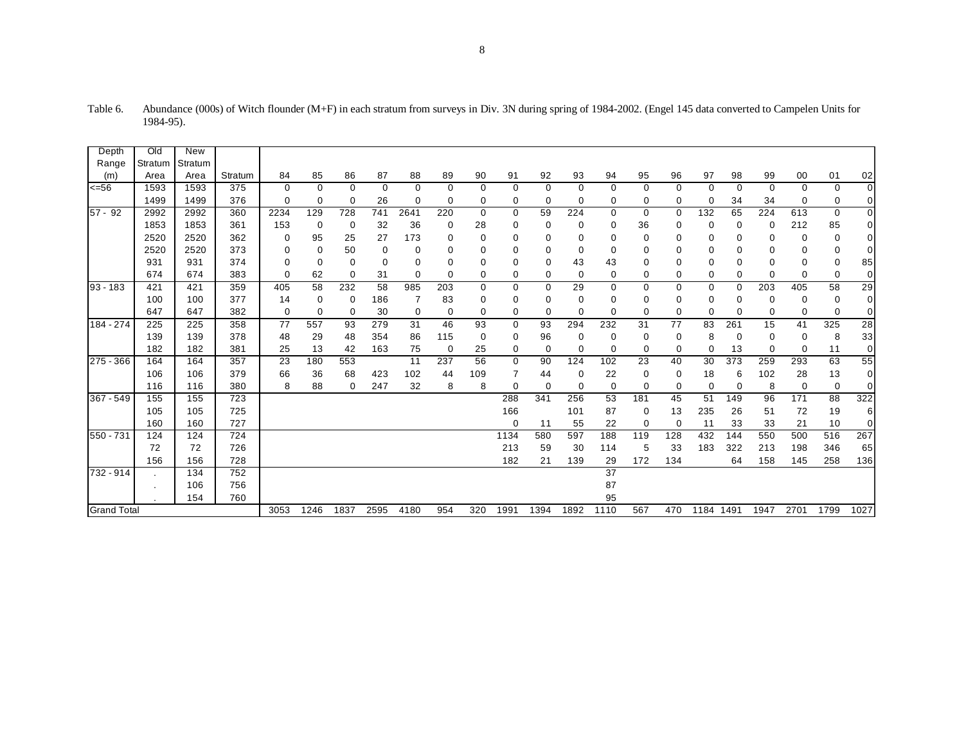| Depth              | Old            | <b>New</b> |         |      |             |             |             |          |     |             |             |             |             |                 |          |             |             |          |          |          |             |                |
|--------------------|----------------|------------|---------|------|-------------|-------------|-------------|----------|-----|-------------|-------------|-------------|-------------|-----------------|----------|-------------|-------------|----------|----------|----------|-------------|----------------|
| Range              | Stratum        | Stratum    |         |      |             |             |             |          |     |             |             |             |             |                 |          |             |             |          |          |          |             |                |
| (m)                | Area           | Area       | Stratum | 84   | 85          | 86          | 87          | 88       | 89  | 90          | 91          | 92          | 93          | 94              | 95       | 96          | 97          | 98       | 99       | 00       | 01          | 02             |
| 556                | 1593           | 1593       | 375     | 0    | 0           | 0           | $\mathbf 0$ | 0        | 0   | 0           | $\mathbf 0$ | 0           | 0           | 0               | 0        | 0           | 0           | 0        | 0        | 0        | 0           | $\overline{0}$ |
|                    | 1499           | 1499       | 376     | 0    | $\mathbf 0$ | $\mathbf 0$ | 26          | $\Omega$ | 0   | 0           | 0           | $\Omega$    | $\mathbf 0$ | 0               | 0        | 0           | $\mathbf 0$ | 34       | 34       | 0        | 0           | $\overline{0}$ |
| $57 - 92$          | 2992           | 2992       | 360     | 2234 | 129         | 728         | 741         | 2641     | 220 | 0           | $\mathbf 0$ | 59          | 224         | 0               | 0        | $\mathbf 0$ | 132         | 65       | 224      | 613      | 0           | $\overline{0}$ |
|                    | 1853           | 1853       | 361     | 153  | 0           | 0           | 32          | 36       | 0   | 28          | 0           | 0           | $\mathbf 0$ | 0               | 36       | 0           | $\mathbf 0$ | 0        | 0        | 212      | 85          | $\overline{0}$ |
|                    | 2520           | 2520       | 362     | 0    | 95          | 25          | 27          | 173      | 0   | 0           | $\mathbf 0$ | 0           | 0           | 0               | 0        | 0           | 0           | $\Omega$ | 0        | 0        | 0           | $\overline{0}$ |
|                    | 2520           | 2520       | 373     | 0    | $\mathbf 0$ | 50          | 0           | 0        | 0   | 0           | 0           | 0           | $\mathbf 0$ | 0               | 0        | $\mathbf 0$ | $\Omega$    | 0        | 0        | 0        | $\mathbf 0$ | $\overline{0}$ |
|                    | 931            | 931        | 374     | 0    | $\Omega$    | 0           | $\mathbf 0$ | 0        | 0   | 0           | $\mathbf 0$ | $\Omega$    | 43          | 43              | 0        | $\mathbf 0$ | 0           | 0        | 0        | 0        | 0           | 85             |
|                    | 674            | 674        | 383     | 0    | 62          | 0           | 31          | $\Omega$ | 0   | 0           | 0           | 0           | $\mathbf 0$ | 0               | 0        | 0           | 0           | 0        | $\Omega$ | 0        | 0           | $\overline{0}$ |
| $93 - 183$         | 421            | 421        | 359     | 405  | 58          | 232         | 58          | 985      | 203 | $\mathbf 0$ | $\mathbf 0$ | $\mathbf 0$ | 29          | 0               | 0        | $\mathbf 0$ | 0           | $\Omega$ | 203      | 405      | 58          | 29             |
|                    | 100            | 100        | 377     | 14   | 0           | 0           | 186         | 7        | 83  | 0           | 0           | 0           | 0           | 0               | 0        | 0           | 0           | 0        | 0        | 0        | 0           | $\overline{0}$ |
|                    | 647            | 647        | 382     | 0    | 0           | 0           | 30          | 0        | 0   | $\Omega$    | 0           | $\Omega$    | $\Omega$    | 0               | $\Omega$ | $\mathbf 0$ | $\mathbf 0$ | $\Omega$ | 0        | 0        | $\mathbf 0$ | $\overline{0}$ |
| 184 - 274          | 225            | 225        | 358     | 77   | 557         | 93          | 279         | 31       | 46  | 93          | 0           | 93          | 294         | 232             | 31       | 77          | 83          | 261      | 15       | 41       | 325         | 28             |
|                    | 139            | 139        | 378     | 48   | 29          | 48          | 354         | 86       | 115 | 0           | 0           | 96          | $\mathbf 0$ | 0               | 0        | $\mathbf 0$ | 8           | 0        | 0        | 0        | 8           | 33             |
|                    | 182            | 182        | 381     | 25   | 13          | 42          | 163         | 75       | 0   | 25          | 0           | $\Omega$    | $\Omega$    | $\Omega$        | $\Omega$ | $\mathbf 0$ | $\Omega$    | 13       | $\Omega$ | $\Omega$ | 11          | $\overline{0}$ |
| 275 - 366          | 164            | 164        | 357     | 23   | 180         | 553         |             | 11       | 237 | 56          | $\mathbf 0$ | 90          | 124         | 102             | 23       | 40          | 30          | 373      | 259      | 293      | 63          | 55             |
|                    | 106            | 106        | 379     | 66   | 36          | 68          | 423         | 102      | 44  | 109         | 7           | 44          | $\Omega$    | 22              | 0        | 0           | 18          | 6        | 102      | 28       | 13          | $\overline{0}$ |
|                    | 116            | 116        | 380     | 8    | 88          | $\mathbf 0$ | 247         | 32       | 8   | 8           | $\Omega$    | $\Omega$    | $\mathbf 0$ | 0               | $\Omega$ | 0           | $\Omega$    | $\Omega$ | 8        | 0        | 0           | $\overline{0}$ |
| 367 - 549          | 155            | 155        | 723     |      |             |             |             |          |     |             | 288         | 341         | 256         | 53              | 181      | 45          | 51          | 149      | 96       | 171      | 88          | 322            |
|                    | 105            | 105        | 725     |      |             |             |             |          |     |             | 166         |             | 101         | 87              | 0        | 13          | 235         | 26       | 51       | 72       | 19          | 6              |
|                    | 160            | 160        | 727     |      |             |             |             |          |     |             | $\Omega$    | 11          | 55          | 22              | 0        | 0           | 11          | 33       | 33       | 21       | 10          | $\overline{0}$ |
| 550 - 731          | 124            | 124        | 724     |      |             |             |             |          |     |             | 1134        | 580         | 597         | 188             | 119      | 128         | 432         | 144      | 550      | 500      | 516         | 267            |
|                    | 72             | 72         | 726     |      |             |             |             |          |     |             | 213         | 59          | 30          | 114             | 5        | 33          | 183         | 322      | 213      | 198      | 346         | 65             |
|                    | 156            | 156        | 728     |      |             |             |             |          |     |             | 182         | 21          | 139         | 29              | 172      | 134         |             | 64       | 158      | 145      | 258         | 136            |
| 732 - 914          |                | 134        | 752     |      |             |             |             |          |     |             |             |             |             | $\overline{37}$ |          |             |             |          |          |          |             |                |
|                    | $\blacksquare$ | 106        | 756     |      |             |             |             |          |     |             |             |             |             | 87              |          |             |             |          |          |          |             |                |
|                    | 154<br>760     |            |         |      |             |             |             |          |     |             |             |             |             | 95              |          |             |             |          |          |          |             |                |
| <b>Grand Total</b> |                |            |         | 3053 | 1246        | 1837        | 2595        | 4180     | 954 | 320         | 1991        | 1394        | 1892        | 1110            | 567      | 470         | 1184 1491   |          | 1947     | 2701     | 1799        | 1027           |

Table 6. Abundance (000s) of Witch flounder (M+F) in each stratum from surveys in Div. 3N during spring of 1984-2002. (Engel 145 data converted to Campelen Units for 1984-95).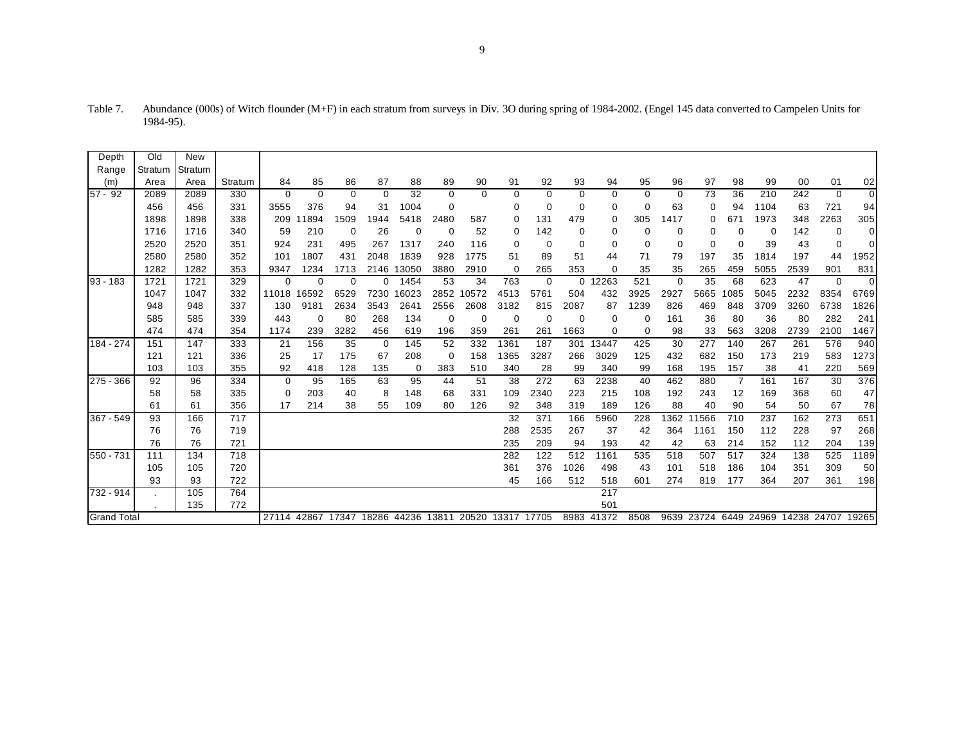| Depth       | Old                | New     |         |             |                                           |          |             |          |          |          |             |          |          |            |          |             |          |                |                                         |      |          |          |
|-------------|--------------------|---------|---------|-------------|-------------------------------------------|----------|-------------|----------|----------|----------|-------------|----------|----------|------------|----------|-------------|----------|----------------|-----------------------------------------|------|----------|----------|
| Range       | Stratum            | Stratum |         |             |                                           |          |             |          |          |          |             |          |          |            |          |             |          |                |                                         |      |          |          |
| (m)         | Area               | Area    | Stratum | 84          | 85                                        | 86       | 87          | 88       | 89       | 90       | 91          | 92       | 93       | 94         | 95       | 96          | 97       | 98             | 99                                      | 00   | 01       | 02       |
| $57 - 92$   | 2089               | 2089    | 330     | $\Omega$    | $\Omega$                                  | $\Omega$ | $\Omega$    | 32       | $\Omega$ | $\Omega$ | $\mathbf 0$ | $\Omega$ | $\Omega$ | 0          | $\Omega$ | 0           | 73       | 36             | 210                                     | 242  | $\Omega$ | $\Omega$ |
|             | 456                | 456     | 331     | 3555        | 376                                       | 94       | 31          | 1004     | 0        |          | 0           | 0        | 0        | 0          | $\Omega$ | 63          | 0        | 94             | 1104                                    | 63   | 721      | 94       |
|             | 1898               | 1898    | 338     | 209         | 1894                                      | 1509     | 1944        | 5418     | 2480     | 587      | 0           | 131      | 479      | 0          | 305      | 1417        | $\Omega$ | 671            | 1973                                    | 348  | 2263     | 305      |
|             | 1716               | 1716    | 340     | 59          | 210                                       | 0        | 26          | $\Omega$ | 0        | 52       | 0           | 142      | 0        | 0          | 0        | 0           |          |                | 0                                       | 142  | 0        | $\Omega$ |
|             | 2520               | 2520    | 351     | 924         | 231                                       | 495      | 267         | 1317     | 240      | 116      | 0           | 0        | 0        | 0          | 0        | $\mathbf 0$ | 0        | 0              | 39                                      | 43   | $\Omega$ | $\Omega$ |
|             | 2580               | 2580    | 352     | 101         | 1807                                      | 431      | 2048        | 1839     | 928      | 1775     | 51          | 89       | 51       | 44         | 71       | 79          | 197      | 35             | 1814                                    | 197  | 44       | 1952     |
|             | 1282               | 1282    | 353     | 9347        | 1234                                      | 1713     | 2146        | 13050    | 3880     | 2910     | 0           | 265      | 353      | 0          | 35       | 35          | 265      | 459            | 5055                                    | 2539 | 901      | 831      |
| $93 - 183$  | 1721               | 1721    | 329     | $\mathbf 0$ | $\Omega$                                  | $\Omega$ | 0           | 1454     | 53       | 34       | 763         | 0        | $\Omega$ | 12263      | 521      | $\mathbf 0$ | 35       | 68             | 623                                     | 47   | $\Omega$ | $\Omega$ |
|             | 1047               | 1047    | 332     | 11018       | 16592                                     | 6529     | 7230        | 16023    | 2852     | 10572    | 4513        | 5761     | 504      | 432        | 3925     | 2927        | 5665     | 1085           | 5045                                    | 2232 | 8354     | 6769     |
|             | 948                | 948     | 337     | 130         | 9181                                      | 2634     | 3543        | 2641     | 2556     | 2608     | 3182        | 815      | 2087     | 87         | 1239     | 826         | 469      | 848            | 3709                                    | 3260 | 6738     | 1826     |
|             | 585                | 585     | 339     | 443         | $\mathbf 0$                               | 80       | 268         | 134      | 0        | $\Omega$ | $\mathbf 0$ | $\Omega$ | $\Omega$ | 0          | 0        | 161         | 36       | 80             | 36                                      | 80   | 282      | 241      |
|             | 474                | 474     | 354     | 1174        | 239                                       | 3282     | 456         | 619      | 196      | 359      | 261         | 261      | 1663     | 0          | $\Omega$ | 98          | 33       | 563            | 3208                                    | 2739 | 2100     | 1467     |
| 184 - 274   | 151                | 147     | 333     | 21          | 156                                       | 35       | $\mathbf 0$ | 145      | 52       | 332      | 1361        | 187      | 301      | 13447      | 425      | 30          | 277      | 140            | 267                                     | 261  | 576      | 940      |
|             | 121                | 121     | 336     | 25          | 17                                        | 175      | 67          | 208      | 0        | 158      | 1365        | 3287     | 266      | 3029       | 125      | 432         | 682      | 150            | 173                                     | 219  | 583      | 1273     |
|             | 103                | 103     | 355     | 92          | 418                                       | 128      | 135         | 0        | 383      | 510      | 340         | 28       | 99       | 340        | 99       | 168         | 195      | 157            | 38                                      | 41   | 220      | 569      |
| $275 - 366$ | 92                 | 96      | 334     | 0           | 95                                        | 165      | 63          | 95       | 44       | 51       | 38          | 272      | 63       | 2238       | 40       | 462         | 880      | $\overline{7}$ | 161                                     | 167  | 30       | 376      |
|             | 58                 | 58      | 335     | 0           | 203                                       | 40       | 8           | 148      | 68       | 331      | 109         | 2340     | 223      | 215        | 108      | 192         | 243      | 12             | 169                                     | 368  | 60       | 47       |
|             | 61                 | 61      | 356     | 17          | 214                                       | 38       | 55          | 109      | 80       | 126      | 92          | 348      | 319      | 189        | 126      | 88          | 40       | 90             | 54                                      | 50   | 67       | 78       |
| 367 - 549   | 93                 | 166     | 717     |             |                                           |          |             |          |          |          | 32          | 371      | 166      | 5960       | 228      | 1362        | 1566     | 710            | 237                                     | 162  | 273      | 651      |
|             | 76                 | 76      | 719     |             |                                           |          |             |          |          |          | 288         | 2535     | 267      | 37         | 42       | 364         | 1161     | 150            | 112                                     | 228  | 97       | 268      |
|             | 76                 | 76      | 721     |             |                                           |          |             |          |          |          | 235         | 209      | 94       | 193        | 42       | 42          | 63       | 214            | 152                                     | 112  | 204      | 139      |
| 550 - 731   | 111                | 134     | 718     |             |                                           |          |             |          |          |          | 282         | 122      | 512      | 1161       | 535      | 518         | 507      | 517            | 324                                     | 138  | 525      | 1189     |
|             | 105                | 105     | 720     |             |                                           |          |             |          |          |          | 361         | 376      | 1026     | 498        | 43       | 101         | 518      | 186            | 104                                     | 351  | 309      | 50       |
|             | 93                 | 93      | 722     |             |                                           |          |             |          |          |          | 45          | 166      | 512      | 518        | 601      | 274         | 819      | 177            | 364                                     | 207  | 361      | 198      |
| 732 - 914   |                    | 105     | 764     |             |                                           |          |             |          |          |          |             |          |          | 217        |          |             |          |                |                                         |      |          |          |
|             |                    | 135     | 772     |             |                                           |          |             |          |          |          |             |          |          | 501        |          |             |          |                |                                         |      |          |          |
|             | <b>Grand Total</b> |         |         |             | 27114 42867 17347 18286 44236 13811 20520 |          |             |          |          |          | 13317 17705 |          |          | 8983 41372 | 8508     |             |          |                | 9639 23724 6449 24969 14238 24707 19265 |      |          |          |

Table 7. Abundance (000s) of Witch flounder (M+F) in each stratum from surveys in Div. 3O during spring of 1984-2002. (Engel 145 data converted to Campelen Units for 1984-95).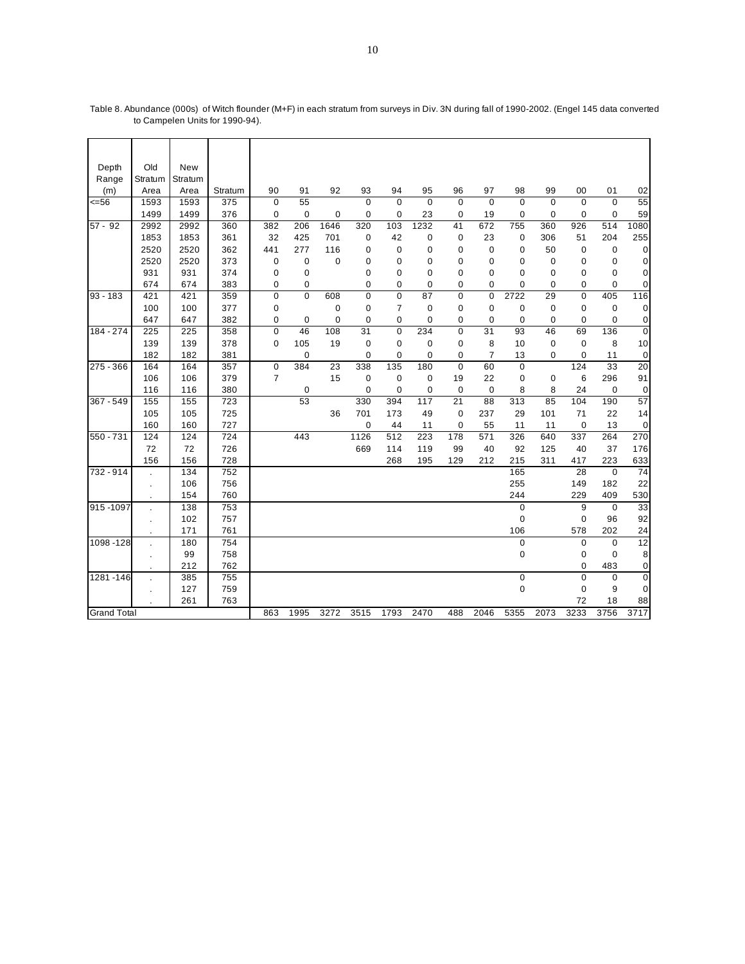| Depth              | Old       | New     |         |                |          |             |             |             |             |             |                |             |             |             |             |                |
|--------------------|-----------|---------|---------|----------------|----------|-------------|-------------|-------------|-------------|-------------|----------------|-------------|-------------|-------------|-------------|----------------|
| Range              | Stratum   | Stratum |         |                |          |             |             |             |             |             |                |             |             |             |             |                |
| (m)                | Area      | Area    | Stratum | 90             | 91       | 92          | 93          | 94          | 95          | 96          | 97             | 98          | 99          | 00          | 01          | 02             |
| 556                | 1593      | 1593    | 375     | $\mathbf 0$    | 55       |             | $\Omega$    | $\Omega$    | $\Omega$    | $\Omega$    | $\Omega$       | $\Omega$    | $\mathbf 0$ | $\mathbf 0$ | $\mathbf 0$ | 55             |
|                    | 1499      | 1499    | 376     | $\mathbf 0$    | 0        | 0           | 0           | 0           | 23          | 0           | 19             | 0           | 0           | 0           | 0           | 59             |
| $57 - 92$          | 2992      | 2992    | 360     | 382            | 206      | 1646        | 320         | 103         | 1232        | 41          | 672            | 755         | 360         | 926         | 514         | 1080           |
|                    | 1853      | 1853    | 361     | 32             | 425      | 701         | 0           | 42          | 0           | 0           | 23             | 0           | 306         | 51          | 204         | 255            |
|                    | 2520      | 2520    | 362     | 441            | 277      | 116         | 0           | 0           | 0           | 0           | 0              | 0           | 50          | $\mathbf 0$ | 0           | 0              |
|                    | 2520      | 2520    | 373     | 0              | 0        | $\mathbf 0$ | 0           | $\mathbf 0$ | 0           | 0           | $\mathbf 0$    | $\mathbf 0$ | $\mathbf 0$ | $\mathbf 0$ | 0           | 0              |
|                    | 931       | 931     | 374     | 0              | 0        |             | 0           | 0           | 0           | 0           | 0              | $\mathbf 0$ | 0           | 0           | 0           | 0              |
|                    | 674       | 674     | 383     | 0              | 0        |             | 0           | 0           | $\mathbf 0$ | 0           | $\mathbf 0$    | $\mathbf 0$ | 0           | 0           | 0           | $\pmb{0}$      |
| 93 - 183           | 421       | 421     | 359     | 0              | $\Omega$ | 608         | $\Omega$    | $\Omega$    | 87          | 0           | $\mathbf 0$    | 2722        | 29          | $\mathbf 0$ | 405         | 116            |
|                    | 100       | 100     | 377     | 0              |          | 0           | 0           | 7           | 0           | 0           | 0              | 0           | 0           | 0           | 0           | 0              |
|                    | 647       | 647     | 382     | 0              | 0        | $\mathbf 0$ | $\mathbf 0$ | 0           | 0           | 0           | 0              | $\mathbf 0$ | 0           | $\mathbf 0$ | 0           | $\mathbf 0$    |
| 184 - 274          | 225       | 225     | 358     | $\mathbf 0$    | 46       | 108         | 31          | $\mathbf 0$ | 234         | $\mathbf 0$ | 31             | 93          | 46          | 69          | 136         | $\overline{0}$ |
|                    | 139       | 139     | 378     | 0              | 105      | 19          | 0           | $\mathbf 0$ | $\mathbf 0$ | 0           | 8              | 10          | 0           | $\mathbf 0$ | 8           | 10             |
|                    | 182       | 182     | 381     |                | 0        |             | 0           | 0           | 0           | 0           | $\overline{7}$ | 13          | 0           | 0           | 11          | $\mathbf 0$    |
| 275 - 366          | 164       | 164     | 357     | $\mathbf 0$    | 384      | 23          | 338         | 135         | 180         | $\Omega$    | 60             | $\mathbf 0$ |             | 124         | 33          | 20             |
|                    | 106       | 106     | 379     | $\overline{7}$ |          | 15          | 0           | 0           | 0           | 19          | 22             | 0           | 0           | 6           | 296         | 91             |
|                    | 116       | 116     | 380     |                | 0        |             | 0           | 0           | 0           | $\mathbf 0$ | $\mathbf 0$    | 8           | 8           | 24          | $\mathbf 0$ | 0              |
| $367 - 549$        | 155       | 155     | 723     |                | 53       |             | 330         | 394         | 117         | 21          | 88             | 313         | 85          | 104         | 190         | 57             |
|                    | 105       | 105     | 725     |                |          | 36          | 701         | 173         | 49          | $\mathbf 0$ | 237            | 29          | 101         | 71          | 22          | 14             |
|                    | 160       | 160     | 727     |                |          |             | 0           | 44          | 11          | $\mathbf 0$ | 55             | 11          | 11          | $\mathbf 0$ | 13          | 0              |
| $550 - 731$        | 124       | 124     | 724     |                | 443      |             | 1126        | 512         | 223         | 178         | 571            | 326         | 640         | 337         | 264         | 270            |
|                    | 72        | 72      | 726     |                |          |             | 669         | 114         | 119         | 99          | 40             | 92          | 125         | 40          | 37          | 176            |
|                    | 156       | 156     | 728     |                |          |             |             | 268         | 195         | 129         | 212            | 215         | 311         | 417         | 223         | 633            |
| $732 - 914$        |           | 134     | 752     |                |          |             |             |             |             |             |                | 165         |             | 28          | $\mathbf 0$ | 74             |
|                    |           | 106     | 756     |                |          |             |             |             |             |             |                | 255         |             | 149         | 182         | 22             |
|                    |           | 154     | 760     |                |          |             |             |             |             |             |                | 244         |             | 229         | 409         | 530            |
| 915-1097           |           | 138     | 753     |                |          |             |             |             |             |             |                | $\mathbf 0$ |             | 9           | $\mathbf 0$ | 33             |
|                    | $\bullet$ | 102     | 757     |                |          |             |             |             |             |             |                | 0           |             | $\mathbf 0$ | 96          | 92             |
|                    |           | 171     | 761     |                |          |             |             |             |             |             |                | 106         |             | 578         | 202         | 24             |
| 1098-128           |           | 180     | 754     |                |          |             |             |             |             |             |                | $\mathbf 0$ |             | $\pmb{0}$   | $\mathbf 0$ | 12             |
|                    |           | 99      | 758     |                |          |             |             |             |             |             |                | 0           |             | 0           | 0           | 8              |
|                    |           | 212     | 762     |                |          |             |             |             |             |             |                |             |             | $\mathbf 0$ | 483         | 0              |
| 1281-146           | ä,        | 385     | 755     |                |          |             |             |             |             |             |                | $\pmb{0}$   |             | $\mathbf 0$ | $\mathbf 0$ | $\pmb{0}$      |
|                    |           | 127     | 759     |                |          |             |             |             |             |             |                | $\mathbf 0$ |             | $\mathbf 0$ | 9           | $\mathbf 0$    |
|                    |           | 261     | 763     |                |          |             |             |             |             |             |                |             |             | 72          | 18          | 88             |
| <b>Grand Total</b> |           |         |         |                | 1995     | 3272        | 3515        | 1793        | 2470        | 488         | 2046           | 5355        | 2073        | 3233        | 3756        | 3717           |

Table 8. Abundance (000s) of Witch flounder (M+F) in each stratum from surveys in Div. 3N during fall of 1990-2002. (Engel 145 data converted to Campelen Units for 1990-94).

 $\overline{\phantom{a}}$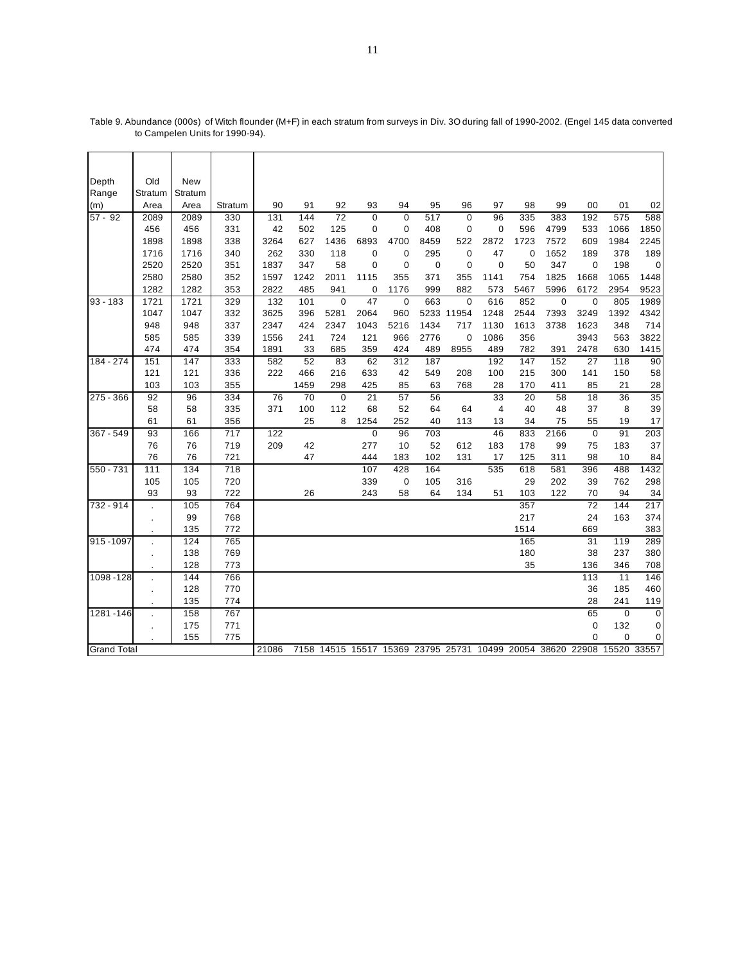| Depth              | Old            | New     |                  |       |      |                |             |             |      |             |                |             |                                                                  |                 |          |             |
|--------------------|----------------|---------|------------------|-------|------|----------------|-------------|-------------|------|-------------|----------------|-------------|------------------------------------------------------------------|-----------------|----------|-------------|
| Range              | Stratum        | Stratum |                  |       |      |                |             |             |      |             |                |             |                                                                  |                 |          |             |
| (m)                | Area           | Area    | Stratum          | 90    | 91   | 92             | 93          | 94          | 95   | 96          | 97             | 98          | 99                                                               | 00              | 01       | 02          |
| $57 - 92$          | 2089           | 2089    | 330              | 131   | 144  | 72             | $\mathbf 0$ | $\mathbf 0$ | 517  | $\mathbf 0$ | 96             | 335         | 383                                                              | 192             | 575      | 588         |
|                    | 456            | 456     | 331              | 42    | 502  | 125            | 0           | $\mathbf 0$ | 408  | $\mathbf 0$ | $\mathbf 0$    | 596         | 4799                                                             | 533             | 1066     | 1850        |
|                    | 1898           | 1898    | 338              | 3264  | 627  | 1436           | 6893        | 4700        | 8459 | 522         | 2872           | 1723        | 7572                                                             | 609             | 1984     | 2245        |
|                    | 1716           | 1716    | 340              | 262   | 330  | 118            | 0           | 0           | 295  | $\mathbf 0$ | 47             | $\mathbf 0$ | 1652                                                             | 189             | 378      | 189         |
|                    | 2520           | 2520    | 351              | 1837  | 347  | 58             | 0           | 0           | 0    | 0           | 0              | 50          | 347                                                              | $\mathbf 0$     | 198      | 0           |
|                    | 2580           | 2580    | 352              | 1597  | 1242 | 2011           | 1115        | 355         | 371  | 355         | 1141           | 754         | 1825                                                             | 1668            | 1065     | 1448        |
|                    | 1282           | 1282    | 353              | 2822  | 485  | 941            | 0           | 1176        | 999  | 882         | 573            | 5467        | 5996                                                             | 6172            | 2954     | 9523        |
| $93 - 183$         | 1721           | 1721    | 329              | 132   | 101  | $\overline{0}$ | 47          | $\mathbf 0$ | 663  | $\mathbf 0$ | 616            | 852         | $\mathbf 0$                                                      | $\overline{0}$  | 805      | 1989        |
|                    | 1047           | 1047    | 332              | 3625  | 396  | 5281           | 2064        | 960         |      | 5233 11954  | 1248           | 2544        | 7393                                                             | 3249            | 1392     | 4342        |
|                    | 948            | 948     | 337              | 2347  | 424  | 2347           | 1043        | 5216        | 1434 | 717         | 1130           | 1613        | 3738                                                             | 1623            | 348      | 714         |
|                    | 585            | 585     | 339              | 1556  | 241  | 724            | 121         | 966         | 2776 | $\mathbf 0$ | 1086           | 356         |                                                                  | 3943            | 563      | 3822        |
|                    | 474            | 474     | 354              | 1891  | 33   | 685            | 359         | 424         | 489  | 8955        | 489            | 782         | 391                                                              | 2478            | 630      | 1415        |
| 184 - 274          | 151            | 147     | 333              | 582   | 52   | 83             | 62          | 312         | 187  |             | 192            | 147         | 152                                                              | 27              | 118      | 90          |
|                    | 121            | 121     | 336              | 222   | 466  | 216            | 633         | 42          | 549  | 208         | 100            | 215         | 300                                                              | 141             | 150      | 58          |
|                    | 103            | 103     | 355              |       | 1459 | 298            | 425         | 85          | 63   | 768         | 28             | 170         | 411                                                              | 85              | 21       | 28          |
| $275 - 366$        | 92             | 96      | 334              | 76    | 70   | $\overline{0}$ | 21          | 57          | 56   |             | 33             | 20          | 58                                                               | $\overline{18}$ | 36       | 35          |
|                    | 58             | 58      | 335              | 371   | 100  | 112            | 68          | 52          | 64   | 64          | $\overline{4}$ | 40          | 48                                                               | 37              | 8        | 39          |
|                    | 61             | 61      | 356              |       | 25   | 8              | 1254        | 252         | 40   | 113         | 13             | 34          | 75                                                               | 55              | 19       | 17          |
| 367 - 549          | 93             | 166     | 717              | 122   |      |                | $\pmb{0}$   | 96          | 703  |             | 46             | 833         | 2166                                                             | $\mathbf 0$     | 91       | 203         |
|                    | 76             | 76      | 719              | 209   | 42   |                | 277         | 10          | 52   | 612         | 183            | 178         | 99                                                               | 75              | 183      | 37          |
|                    | 76             | 76      | 721              |       | 47   |                | 444         | 183         | 102  | 131         | 17             | 125         | 311                                                              | 98              | 10       | 84          |
| 550 - 731          | 111            | 134     | $\overline{718}$ |       |      |                | 107         | 428         | 164  |             | 535            | 618         | 581                                                              | 396             | 488      | 1432        |
|                    | 105            | 105     | 720              |       |      |                | 339         | 0           | 105  | 316         |                | 29          | 202                                                              | 39              | 762      | 298         |
|                    | 93             | 93      | 722              |       | 26   |                | 243         | 58          | 64   | 134         | 51             | 103         | 122                                                              | 70              | 94       | 34          |
| 732 - 914          |                | 105     | 764              |       |      |                |             |             |      |             |                | 357         |                                                                  | $\overline{72}$ | 144      | 217         |
|                    | ÷,             | 99      | 768              |       |      |                |             |             |      |             |                | 217         |                                                                  | 24              | 163      | 374         |
|                    |                | 135     | 772              |       |      |                |             |             |      |             |                | 1514        |                                                                  | 669             |          | 383         |
| 915-1097           |                | 124     | 765              |       |      |                |             |             |      |             |                | 165         |                                                                  | 31              | 119      | 289         |
|                    |                | 138     | 769              |       |      |                |             |             |      |             |                | 180         |                                                                  | 38              | 237      | 380         |
|                    |                | 128     | 773              |       |      |                |             |             |      |             |                | 35          |                                                                  | 136             | 346      | 708         |
| 1098-128           |                | 144     | 766              |       |      |                |             |             |      |             |                |             |                                                                  | 113             | 11       | 146         |
|                    | $\blacksquare$ | 128     | 770              |       |      |                |             |             |      |             |                |             |                                                                  | 36              | 185      | 460         |
|                    |                | 135     | 774              |       |      |                |             |             |      |             |                |             |                                                                  | 28              | 241      | 119         |
| 1281-146           |                | 158     | 767              |       |      |                |             |             |      |             |                |             |                                                                  | 65              | $\Omega$ | $\mathbf 0$ |
|                    | $\cdot$        | 175     | 771              |       |      |                |             |             |      |             |                |             |                                                                  | $\mathbf 0$     | 132      | $\mathbf 0$ |
|                    |                | 155     | 775              |       |      |                |             |             |      |             |                |             |                                                                  | $\mathbf 0$     | 0        | 0           |
| <b>Grand Total</b> |                |         |                  | 21086 |      |                |             |             |      |             |                |             | 7158 14515 15517 15369 23795 25731 10499 20054 38620 22908 15520 |                 |          | 33557       |

Table 9. Abundance (000s) of Witch flounder (M+F) in each stratum from surveys in Div. 3O during fall of 1990-2002. (Engel 145 data converted to Campelen Units for 1990-94).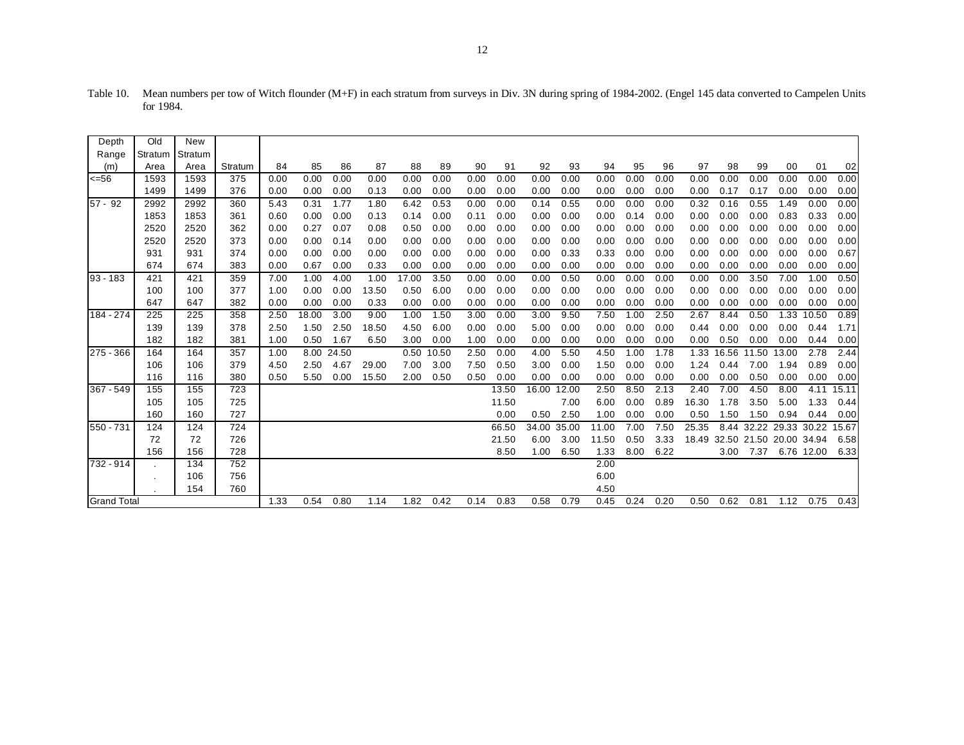| Depth              | Old     | New     |         |      |       |       |       |       |       |      |       |       |       |       |      |      |       |       |                         |             |            |       |
|--------------------|---------|---------|---------|------|-------|-------|-------|-------|-------|------|-------|-------|-------|-------|------|------|-------|-------|-------------------------|-------------|------------|-------|
| Range              | Stratum | Stratum |         |      |       |       |       |       |       |      |       |       |       |       |      |      |       |       |                         |             |            |       |
| (m)                | Area    | Area    | Stratum | 84   | 85    | 86    | 87    | 88    | 89    | 90   | 91    | 92    | 93    | 94    | 95   | 96   | 97    | 98    | 99                      | 00          | 01         | 02    |
| $<=56$             | 1593    | 1593    | 375     | 0.00 | 0.00  | 0.00  | 0.00  | 0.00  | 0.00  | 0.00 | 0.00  | 0.00  | 0.00  | 0.00  | 0.00 | 0.00 | 0.00  | 0.00  | 0.00                    | 0.00        | 0.00       | 0.00  |
|                    | 1499    | 1499    | 376     | 0.00 | 0.00  | 0.00  | 0.13  | 0.00  | 0.00  | 0.00 | 0.00  | 0.00  | 0.00  | 0.00  | 0.00 | 0.00 | 0.00  | 0.17  | 0.17                    | 0.00        | 0.00       | 0.00  |
| $57 - 92$          | 2992    | 2992    | 360     | 5.43 | 0.31  | 1.77  | 1.80  | 6.42  | 0.53  | 0.00 | 0.00  | 0.14  | 0.55  | 0.00  | 0.00 | 0.00 | 0.32  | 0.16  | 0.55                    | 1.49        | 0.00       | 0.00  |
|                    | 1853    | 1853    | 361     | 0.60 | 0.00  | 0.00  | 0.13  | 0.14  | 0.00  | 0.11 | 0.00  | 0.00  | 0.00  | 0.00  | 0.14 | 0.00 | 0.00  | 0.00  | 0.00                    | 0.83        | 0.33       | 0.00  |
|                    | 2520    | 2520    | 362     | 0.00 | 0.27  | 0.07  | 0.08  | 0.50  | 0.00  | 0.00 | 0.00  | 0.00  | 0.00  | 0.00  | 0.00 | 0.00 | 0.00  | 0.00  | 0.00                    | 0.00        | 0.00       | 0.00  |
|                    | 2520    | 2520    | 373     | 0.00 | 0.00  | 0.14  | 0.00  | 0.00  | 0.00  | 0.00 | 0.00  | 0.00  | 0.00  | 0.00  | 0.00 | 0.00 | 0.00  | 0.00  | 0.00                    | 0.00        | 0.00       | 0.00  |
|                    | 931     | 931     | 374     | 0.00 | 0.00  | 0.00  | 0.00  | 0.00  | 0.00  | 0.00 | 0.00  | 0.00  | 0.33  | 0.33  | 0.00 | 0.00 | 0.00  | 0.00  | 0.00                    | 0.00        | 0.00       | 0.67  |
|                    | 674     | 674     | 383     | 0.00 | 0.67  | 0.00  | 0.33  | 0.00  | 0.00  | 0.00 | 0.00  | 0.00  | 0.00  | 0.00  | 0.00 | 0.00 | 0.00  | 0.00  | 0.00                    | 0.00        | 0.00       | 0.00  |
| $93 - 183$         | 421     | 421     | 359     | 7.00 | 1.00  | 4.00  | 1.00  | 17.00 | 3.50  | 0.00 | 0.00  | 0.00  | 0.50  | 0.00  | 0.00 | 0.00 | 0.00  | 0.00  | 3.50                    | 7.00        | 1.00       | 0.50  |
|                    | 100     | 100     | 377     | 1.00 | 0.00  | 0.00  | 13.50 | 0.50  | 6.00  | 0.00 | 0.00  | 0.00  | 0.00  | 0.00  | 0.00 | 0.00 | 0.00  | 0.00  | 0.00                    | 0.00        | 0.00       | 0.00  |
|                    | 647     | 647     | 382     | 0.00 | 0.00  | 0.00  | 0.33  | 0.00  | 0.00  | 0.00 | 0.00  | 0.00  | 0.00  | 0.00  | 0.00 | 0.00 | 0.00  | 0.00  | 0.00                    | 0.00        | 0.00       | 0.00  |
| 184 - 274          | 225     | 225     | 358     | 2.50 | 18.00 | 3.00  | 9.00  | 1.00  | 1.50  | 3.00 | 0.00  | 3.00  | 9.50  | 7.50  | 1.00 | 2.50 | 2.67  | 8.44  | 0.50                    | 1.33        | 10.50      | 0.89  |
|                    | 139     | 139     | 378     | 2.50 | 1.50  | 2.50  | 18.50 | 4.50  | 6.00  | 0.00 | 0.00  | 5.00  | 0.00  | 0.00  | 0.00 | 0.00 | 0.44  | 0.00  | 0.00                    | 0.00        | 0.44       | 1.71  |
|                    | 182     | 182     | 381     | 1.00 | 0.50  | 1.67  | 6.50  | 3.00  | 0.00  | 1.00 | 0.00  | 0.00  | 0.00  | 0.00  | 0.00 | 0.00 | 0.00  | 0.50  | 0.00                    | 0.00        | 0.44       | 0.00  |
| 275 - 366          | 164     | 164     | 357     | 1.00 | 8.00  | 24.50 |       | 0.50  | 10.50 | 2.50 | 0.00  | 4.00  | 5.50  | 4.50  | 1.00 | 1.78 | 1.33  | 16.56 | 11.50                   | 13.00       | 2.78       | 2.44  |
|                    | 106     | 106     | 379     | 4.50 | 2.50  | 4.67  | 29.00 | 7.00  | 3.00  | 7.50 | 0.50  | 3.00  | 0.00  | 1.50  | 0.00 | 0.00 | 1.24  | 0.44  | 7.00                    | 1.94        | 0.89       | 0.00  |
|                    | 116     | 116     | 380     | 0.50 | 5.50  | 0.00  | 15.50 | 2.00  | 0.50  | 0.50 | 0.00  | 0.00  | 0.00  | 0.00  | 0.00 | 0.00 | 0.00  | 0.00  | 0.50                    | 0.00        | 0.00       | 0.00  |
| $367 - 549$        | 155     | 155     | 723     |      |       |       |       |       |       |      | 13.50 | 16.00 | 12.00 | 2.50  | 8.50 | 2.13 | 2.40  | 7.00  | 4.50                    | 8.00        | 4.11       | 15.11 |
|                    | 105     | 105     | 725     |      |       |       |       |       |       |      | 11.50 |       | 7.00  | 6.00  | 0.00 | 0.89 | 16.30 | 1.78  | 3.50                    | 5.00        | 1.33       | 0.44  |
|                    | 160     | 160     | 727     |      |       |       |       |       |       |      | 0.00  | 0.50  | 2.50  | 1.00  | 0.00 | 0.00 | 0.50  | 1.50  | 1.50                    | 0.94        | 0.44       | 0.00  |
| 550 - 731          | 124     | 124     | 724     |      |       |       |       |       |       |      | 66.50 | 34.00 | 35.00 | 11.00 | 7.00 | 7.50 | 25.35 | 8.44  | 32.22                   | 29.33 30.22 |            | 15.67 |
|                    | 72      | 72      | 726     |      |       |       |       |       |       |      | 21.50 | 6.00  | 3.00  | 11.50 | 0.50 | 3.33 | 18.49 |       | 32.50 21.50 20.00 34.94 |             |            | 6.58  |
|                    | 156     | 156     | 728     |      |       |       |       |       |       |      | 8.50  | 1.00  | 6.50  | 1.33  | 8.00 | 6.22 |       | 3.00  | 7.37                    |             | 6.76 12.00 | 6.33  |
| 732 - 914          |         | 134     | 752     |      |       |       |       |       |       |      |       |       |       | 2.00  |      |      |       |       |                         |             |            |       |
|                    | $\sim$  | 106     | 756     |      |       |       |       |       |       |      |       |       |       | 6.00  |      |      |       |       |                         |             |            |       |
|                    |         | 154     | 760     |      |       |       |       |       |       |      |       |       |       | 4.50  |      |      |       |       |                         |             |            |       |
| <b>Grand Total</b> |         |         |         | 1.33 | 0.54  | 0.80  | 1.14  | 1.82  | 0.42  | 0.14 | 0.83  | 0.58  | 0.79  | 0.45  | 0.24 | 0.20 | 0.50  | 0.62  | 0.81                    | 1.12        | 0.75       | 0.43  |

Table 10. Mean numbers per tow of Witch flounder (M+F) in each stratum from surveys in Div. 3N during spring of 1984-2002. (Engel 145 data converted to Campelen Units for 1984.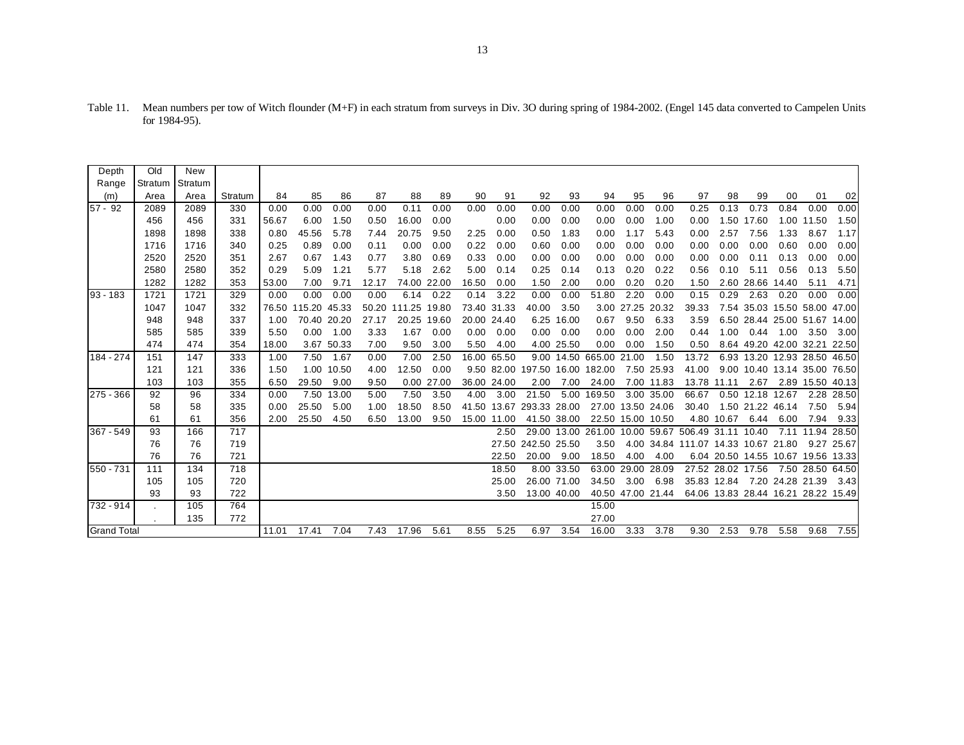| Depth       | Old     | New     |         |       |             |            |       |              |            |             |       |                                |             |        |                   |                   |                                                   |                   |                  |      |                                     |            |
|-------------|---------|---------|---------|-------|-------------|------------|-------|--------------|------------|-------------|-------|--------------------------------|-------------|--------|-------------------|-------------------|---------------------------------------------------|-------------------|------------------|------|-------------------------------------|------------|
| Range       | Stratum | Stratum |         |       |             |            |       |              |            |             |       |                                |             |        |                   |                   |                                                   |                   |                  |      |                                     |            |
| (m)         | Area    | Area    | Stratum | 84    | 85          | 86         | 87    | 88           | 89         | 90          | 91    | 92                             | 93          | 94     | 95                | 96                | 97                                                | 98                | 99               | 00   | 01                                  | 02         |
| 57 - 92     | 2089    | 2089    | 330     | 0.00  | 0.00        | 0.00       | 0.00  | 0.11         | 0.00       | 0.00        | 0.00  | 0.00                           | 0.00        | 0.00   | 0.00              | 0.00              | 0.25                                              | 0.13              | 0.73             | 0.84 | 0.00                                | 0.00       |
|             | 456     | 456     | 331     | 56.67 | 6.00        | 1.50       | 0.50  | 16.00        | 0.00       |             | 0.00  | 0.00                           | 0.00        | 0.00   | 0.00              | 1.00              | 0.00                                              |                   | 1.50 17.60       | 1.00 | 11.50                               | 1.50       |
|             | 1898    | 1898    | 338     | 0.80  | 45.56       | 5.78       | 7.44  | 20.75        | 9.50       | 2.25        | 0.00  | 0.50                           | 1.83        | 0.00   | 1.17              | 5.43              | 0.00                                              | 2.57              | 7.56             | 1.33 | 8.67                                | 1.17       |
|             | 1716    | 1716    | 340     | 0.25  | 0.89        | 0.00       | 0.11  | 0.00         | 0.00       | 0.22        | 0.00  | 0.60                           | 0.00        | 0.00   | 0.00              | 0.00              | 0.00                                              | 0.00              | 0.00             | 0.60 | 0.00                                | 0.00       |
|             | 2520    | 2520    | 351     | 2.67  | 0.67        | 1.43       | 0.77  | 3.80         | 0.69       | 0.33        | 0.00  | 0.00                           | 0.00        | 0.00   | 0.00              | 0.00              | 0.00                                              | 0.00              | 0.11             | 0.13 | 0.00                                | 0.00       |
|             | 2580    | 2580    | 352     | 0.29  | 5.09        | 1.21       | 5.77  | 5.18         | 2.62       | 5.00        | 0.14  | 0.25                           | 0.14        | 0.13   | 0.20              | 0.22              | 0.56                                              | 0.10              | 5.11             | 0.56 | 0.13                                | 5.50       |
|             | 1282    | 1282    | 353     | 53.00 | 7.00        | 9.71       | 12.17 | 74.00 22.00  |            | 16.50       | 0.00  | 1.50                           | 2.00        | 0.00   | 0.20              | 0.20              | 1.50                                              |                   | 2.60 28.66 14.40 |      | 5.11                                | 4.71       |
| $93 - 183$  | 1721    | 1721    | 329     | 0.00  | 0.00        | 0.00       | 0.00  | 6.14         | 0.22       | 0.14        | 3.22  | 0.00                           | 0.00        | 51.80  | 2.20              | 0.00              | 0.15                                              | 0.29              | 2.63             | 0.20 | 0.00                                | 0.00       |
|             | 1047    | 1047    | 332     | 76.50 | 115.20      | 45.33      | 50.20 | 111.25 19.80 |            | 73.40 31.33 |       | 40.00                          | 3.50        |        | 3.00 27.25        | 20.32             | 39.33                                             | 7.54              |                  |      | 35.03 15.50 58.00 47.00             |            |
|             | 948     | 948     | 337     | 1.00  | 70.40 20.20 |            | 27.17 | 20.25 19.60  |            | 20.00 24.40 |       |                                | 6.25 16.00  | 0.67   | 9.50              | 6.33              | 3.59                                              |                   |                  |      | 6.50 28.44 25.00 51.67 14.00        |            |
|             | 585     | 585     | 339     | 5.50  | 0.00        | 1.00       | 3.33  | 1.67         | 0.00       | 0.00        | 0.00  | 0.00                           | 0.00        | 0.00   | 0.00              | 2.00              | 0.44                                              | 1.00              | 0.44             | 1.00 | 3.50                                | 3.00       |
|             | 474     | 474     | 354     | 18.00 |             | 3.67 50.33 | 7.00  | 9.50         | 3.00       | 5.50        | 4.00  |                                | 4.00 25.50  | 0.00   | 0.00              | 1.50              | 0.50                                              |                   |                  |      | 8.64 49.20 42.00 32.21 22.50        |            |
| $184 - 274$ | 151     | 147     | 333     | 1.00  | 7.50        | 1.67       | 0.00  | 7.00         | 2.50       | 16.00 65.50 |       |                                | 9.00 14.50  | 665.00 | 21.00             | 1.50              | 13.72                                             |                   |                  |      | 6.93 13.20 12.93 28.50 46.50        |            |
|             | 121     | 121     | 336     | 1.50  | 1.00        | 10.50      | 4.00  | 12.50        | 0.00       |             |       | 9.50 82.00 197.50 16.00 182.00 |             |        |                   | 7.50 25.93        | 41.00                                             |                   |                  |      | 9.00 10.40 13.14 35.00 76.50        |            |
|             | 103     | 103     | 355     | 6.50  | 29.50       | 9.00       | 9.50  |              | 0.00 27.00 | 36.00 24.00 |       | 2.00                           | 7.00        | 24.00  |                   | 7.00 11.83        | 13.78 11.11                                       |                   | 2.67             |      | 2.89 15.50 40.13                    |            |
| 275 - 366   | 92      | 96      | 334     | 0.00  | 7.50        | 13.00      | 5.00  | 7.50         | 3.50       | 4.00        | 3.00  | 21.50                          | 5.00        | 169.50 |                   | 3.00 35.00        | 66.67                                             |                   | 0.50 12.18 12.67 |      |                                     | 2.28 28.50 |
|             | 58      | 58      | 335     | 0.00  | 25.50       | 5.00       | 1.00  | 18.50        | 8.50       | 41.50       | 13.67 | 293.33 28.00                   |             |        | 27.00 13.50 24.06 |                   | 30.40                                             |                   | 1.50 21.22 46.14 |      | 7.50                                | 5.94       |
|             | 61      | 61      | 356     | 2.00  | 25.50       | 4.50       | 6.50  | 13.00        | 9.50       | 15.00 11.00 |       | 41.50 38.00                    |             |        | 22.50 15.00 10.50 |                   |                                                   | 4.80 10.67        | 6.44             | 6.00 | 7.94                                | 9.33       |
| 367 - 549   | 93      | 166     | 717     |       |             |            |       |              |            |             | 2.50  |                                |             |        |                   |                   | 29.00 13.00 261.00 10.00 59.67 506.49 31.11 10.40 |                   |                  | 7.11 | 11.94 28.50                         |            |
|             | 76      | 76      | 719     |       |             |            |       |              |            |             |       | 27.50 242.50 25.50             |             | 3.50   |                   |                   | 4.00 34.84 111.07 14.33 10.67 21.80               |                   |                  |      |                                     | 9.27 25.67 |
|             | 76      | 76      | 721     |       |             |            |       |              |            |             | 22.50 | 20.00                          | 9.00        | 18.50  | 4.00              | 4.00              |                                                   |                   |                  |      | 6.04 20.50 14.55 10.67 19.56 13.33  |            |
| 550 - 731   | 111     | 134     | 718     |       |             |            |       |              |            |             | 18.50 | 8.00                           | 33.50       | 63.00  | 29.00             | 28.09             |                                                   | 27.52 28.02 17.56 |                  |      | 7.50 28.50 64.50                    |            |
|             | 105     | 105     | 720     |       |             |            |       |              |            |             | 25.00 |                                | 26.00 71.00 | 34.50  | 3.00              | 6.98              |                                                   | 35.83 12.84       |                  |      | 7.20 24.28 21.39                    | 3.43       |
|             | 93      | 93      | 722     |       |             |            |       |              |            |             | 3.50  |                                | 13.00 40.00 |        |                   | 40.50 47.00 21.44 |                                                   |                   |                  |      | 64.06 13.83 28.44 16.21 28.22 15.49 |            |
| $732 - 914$ |         | 105     | 764     |       |             |            |       |              |            |             |       |                                |             | 15.00  |                   |                   |                                                   |                   |                  |      |                                     |            |

Grand Total 11.01 17.41 7.04 7.43 17.96 5.61 8.55 5.25 6.97 3.54 16.00 3.33 3.78 9.30 2.53 9.78 5.58 9.68 7.55

27.00

. 135 772

Table 11. Mean numbers per tow of Witch flounder (M+F) in each stratum from surveys in Div. 3O during spring of 1984-2002. (Engel 145 data converted to Campelen Units for 1984-95).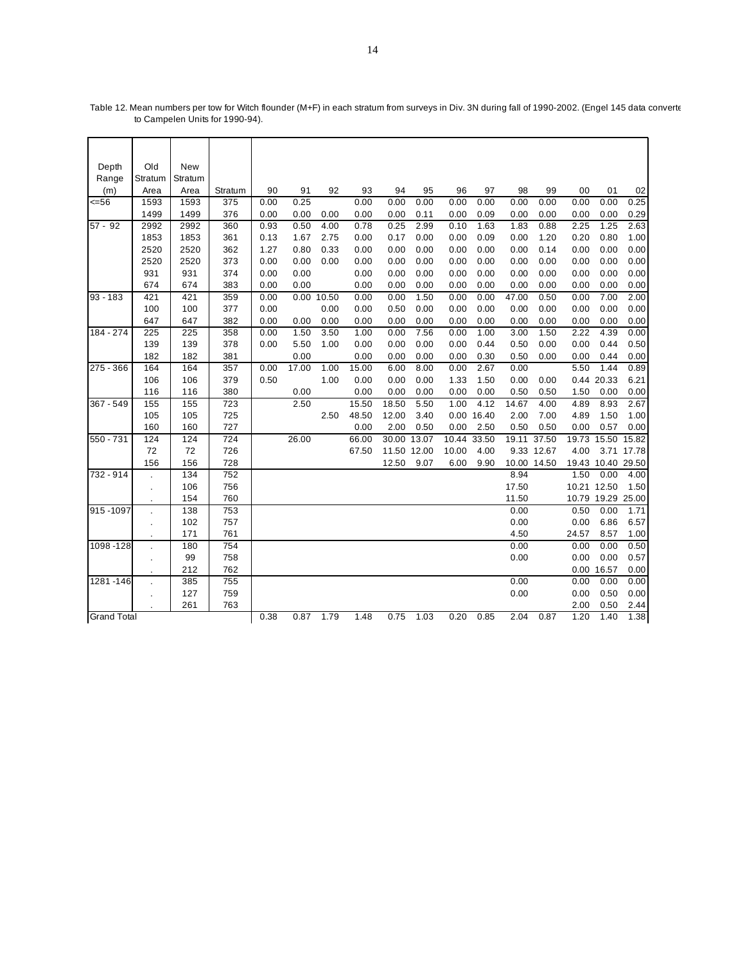| Depth              | Old                  | <b>New</b> |         |      |       |       |       |             |             |       |            |       |             |       |                   |            |
|--------------------|----------------------|------------|---------|------|-------|-------|-------|-------------|-------------|-------|------------|-------|-------------|-------|-------------------|------------|
| Range              | Stratum              | Stratum    |         |      |       |       |       |             |             |       |            |       |             |       |                   |            |
| (m)                | Area                 | Area       | Stratum | 90   | 91    | 92    | 93    | 94          | 95          | 96    | 97         | 98    | 99          | 00    | 01                | 02         |
| 556                | 1593                 | 1593       | 375     | 0.00 | 0.25  |       | 0.00  | 0.00        | 0.00        | 0.00  | 0.00       | 0.00  | 0.00        | 0.00  | 0.00              | 0.25       |
|                    | 1499                 | 1499       | 376     | 0.00 | 0.00  | 0.00  | 0.00  | 0.00        | 0.11        | 0.00  | 0.09       | 0.00  | 0.00        | 0.00  | 0.00              | 0.29       |
| $57 - 92$          | 2992                 | 2992       | 360     | 0.93 | 0.50  | 4.00  | 0.78  | 0.25        | 2.99        | 0.10  | 1.63       | 1.83  | 0.88        | 2.25  | 1.25              | 2.63       |
|                    | 1853                 | 1853       | 361     | 0.13 | 1.67  | 2.75  | 0.00  | 0.17        | 0.00        | 0.00  | 0.09       | 0.00  | 1.20        | 0.20  | 0.80              | 1.00       |
|                    | 2520                 | 2520       | 362     | 1.27 | 0.80  | 0.33  | 0.00  | 0.00        | 0.00        | 0.00  | 0.00       | 0.00  | 0.14        | 0.00  | 0.00              | 0.00       |
|                    | 2520                 | 2520       | 373     | 0.00 | 0.00  | 0.00  | 0.00  | 0.00        | 0.00        | 0.00  | 0.00       | 0.00  | 0.00        | 0.00  | 0.00              | 0.00       |
|                    | 931                  | 931        | 374     | 0.00 | 0.00  |       | 0.00  | 0.00        | 0.00        | 0.00  | 0.00       | 0.00  | 0.00        | 0.00  | 0.00              | 0.00       |
|                    | 674                  | 674        | 383     | 0.00 | 0.00  |       | 0.00  | 0.00        | 0.00        | 0.00  | 0.00       | 0.00  | 0.00        | 0.00  | 0.00              | 0.00       |
| $93 - 183$         | 421                  | 421        | 359     | 0.00 | 0.00  | 10.50 | 0.00  | 0.00        | 1.50        | 0.00  | 0.00       | 47.00 | 0.50        | 0.00  | 7.00              | 2.00       |
|                    | 100                  | 100        | 377     | 0.00 |       | 0.00  | 0.00  | 0.50        | 0.00        | 0.00  | 0.00       | 0.00  | 0.00        | 0.00  | 0.00              | 0.00       |
|                    | 647                  | 647        | 382     | 0.00 | 0.00  | 0.00  | 0.00  | 0.00        | 0.00        | 0.00  | 0.00       | 0.00  | 0.00        | 0.00  | 0.00              | 0.00       |
| 184 - 274          | 225                  | 225        | 358     | 0.00 | 1.50  | 3.50  | 1.00  | 0.00        | 7.56        | 0.00  | 1.00       | 3.00  | 1.50        | 2.22  | 4.39              | 0.00       |
|                    | 139                  | 139        | 378     | 0.00 | 5.50  | 1.00  | 0.00  | 0.00        | 0.00        | 0.00  | 0.44       | 0.50  | 0.00        | 0.00  | 0.44              | 0.50       |
|                    | 182                  | 182        | 381     |      | 0.00  |       | 0.00  | 0.00        | 0.00        | 0.00  | 0.30       | 0.50  | 0.00        | 0.00  | 0.44              | 0.00       |
| 275 - 366          | 164                  | 164        | 357     | 0.00 | 17.00 | 1.00  | 15.00 | 6.00        | 8.00        | 0.00  | 2.67       | 0.00  |             | 5.50  | 1.44              | 0.89       |
|                    | 106                  | 106        | 379     | 0.50 |       | 1.00  | 0.00  | 0.00        | 0.00        | 1.33  | 1.50       | 0.00  | 0.00        |       | 0.44 20.33        | 6.21       |
|                    | 116                  | 116        | 380     |      | 0.00  |       | 0.00  | 0.00        | 0.00        | 0.00  | 0.00       | 0.50  | 0.50        | 1.50  | 0.00              | 0.00       |
| 367 - 549          | 155                  | 155        | 723     |      | 2.50  |       | 15.50 | 18.50       | 5.50        | 1.00  | 4.12       | 14.67 | 4.00        | 4.89  | 8.93              | 2.67       |
|                    | 105                  | 105        | 725     |      |       | 2.50  | 48.50 | 12.00       | 3.40        |       | 0.00 16.40 | 2.00  | 7.00        | 4.89  | 1.50              | 1.00       |
|                    | 160                  | 160        | 727     |      |       |       | 0.00  | 2.00        | 0.50        | 0.00  | 2.50       | 0.50  | 0.50        | 0.00  | 0.57              | 0.00       |
| 550 - 731          | 124                  | 124        | 724     |      | 26.00 |       | 66.00 | 30.00 13.07 |             | 10.44 | 33.50      |       | 19.11 37.50 | 19.73 | 15.50             | 15.82      |
|                    | 72                   | 72         | 726     |      |       |       | 67.50 |             | 11.50 12.00 | 10.00 | 4.00       |       | 9.33 12.67  | 4.00  |                   | 3.71 17.78 |
|                    | 156                  | 156        | 728     |      |       |       |       | 12.50       | 9.07        | 6.00  | 9.90       |       | 10.00 14.50 |       | 19.43 10.40 29.50 |            |
| 732 - 914          |                      | 134        | 752     |      |       |       |       |             |             |       |            | 8.94  |             | 1.50  | 0.00              | 4.00       |
|                    | $\ddot{\phantom{a}}$ | 106        | 756     |      |       |       |       |             |             |       |            | 17.50 |             |       | 10.21 12.50       | 1.50       |
|                    |                      | 154        | 760     |      |       |       |       |             |             |       |            | 11.50 |             |       | 10.79 19.29 25.00 |            |
| 915-1097           |                      | 138        | 753     |      |       |       |       |             |             |       |            | 0.00  |             | 0.50  | 0.00              | 1.71       |
|                    |                      | 102        | 757     |      |       |       |       |             |             |       |            | 0.00  |             | 0.00  | 6.86              | 6.57       |
|                    |                      | 171        | 761     |      |       |       |       |             |             |       |            | 4.50  |             | 24.57 | 8.57              | 1.00       |
| 1098-128           |                      | 180        | 754     |      |       |       |       |             |             |       |            | 0.00  |             | 0.00  | 0.00              | 0.50       |
|                    |                      | 99         | 758     |      |       |       |       |             |             |       |            | 0.00  |             | 0.00  | 0.00              | 0.57       |
|                    |                      | 212        | 762     |      |       |       |       |             |             |       |            |       |             |       | 0.00 16.57        | 0.00       |
| 1281-146           |                      | 385        | 755     |      |       |       |       |             |             |       |            | 0.00  |             | 0.00  | 0.00              | 0.00       |
|                    | $\bullet$            | 127        | 759     |      |       |       |       |             |             |       |            | 0.00  |             | 0.00  | 0.50              | 0.00       |
|                    |                      | 261        | 763     |      |       |       |       |             |             |       |            |       |             | 2.00  | 0.50              | 2.44       |
| <b>Grand Total</b> |                      |            |         | 0.38 | 0.87  | 1.79  | 1.48  | 0.75        | 1.03        | 0.20  | 0.85       | 2.04  | 0.87        | 1.20  | 1.40              | 1.38       |

Table 12. Mean numbers per tow for Witch flounder (M+F) in each stratum from surveys in Div. 3N during fall of 1990-2002. (Engel 145 data converte to Campelen Units for 1990-94).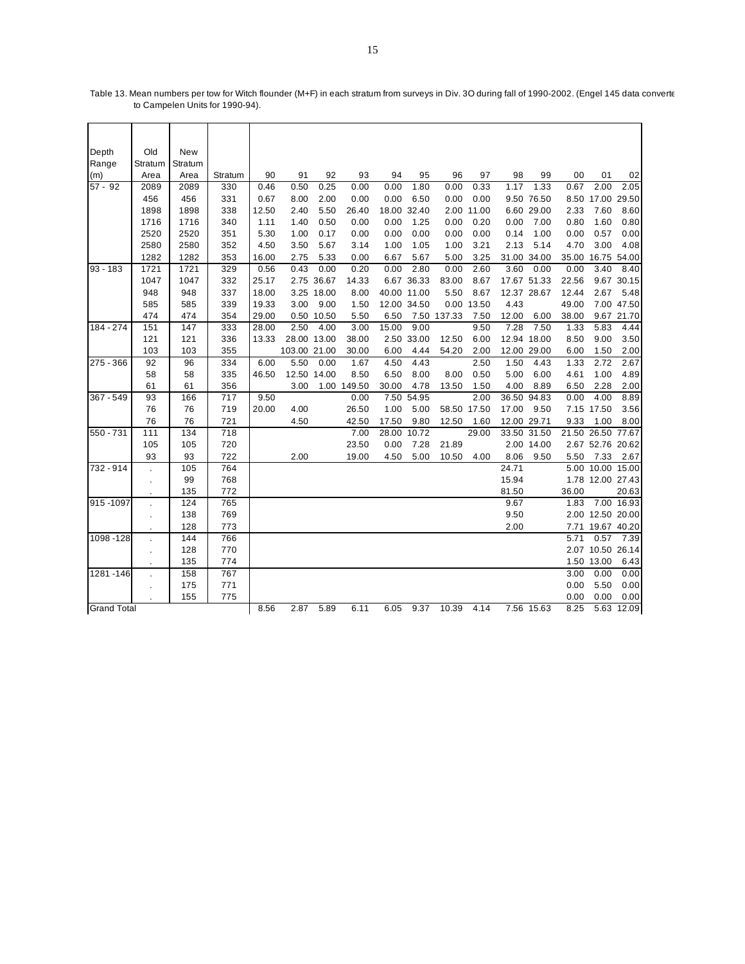| Depth                | Old                  | New     |                  |       |              |             |             |       |             |             |             |       |             |       |                   |             |
|----------------------|----------------------|---------|------------------|-------|--------------|-------------|-------------|-------|-------------|-------------|-------------|-------|-------------|-------|-------------------|-------------|
| Range                | Stratum              | Stratum |                  |       |              |             |             |       |             |             |             |       |             |       |                   |             |
| (m)                  | Area                 | Area    | Stratum          | 90    | 91           | 92          | 93          | 94    | 95          | 96          | 97          | 98    | 99          | 00    | 01                | 02          |
| $\overline{57}$ - 92 | 2089                 | 2089    | 330              | 0.46  | 0.50         | 0.25        | 0.00        | 0.00  | 1.80        | 0.00        | 0.33        | 1.17  | 1.33        | 0.67  | 2.00              | 2.05        |
|                      | 456                  | 456     | 331              | 0.67  | 8.00         | 2.00        | 0.00        | 0.00  | 6.50        | 0.00        | 0.00        |       | 9.50 76.50  | 8.50  |                   | 17.00 29.50 |
|                      | 1898                 | 1898    | 338              | 12.50 | 2.40         | 5.50        | 26.40       |       | 18.00 32.40 |             | 2.00 11.00  |       | 6.60 29.00  | 2.33  | 7.60              | 8.60        |
|                      | 1716                 | 1716    | 340              | 1.11  | 1.40         | 0.50        | 0.00        | 0.00  | 1.25        | 0.00        | 0.20        | 0.00  | 7.00        | 0.80  | 1.60              | 0.80        |
|                      | 2520                 | 2520    | 351              | 5.30  | 1.00         | 0.17        | 0.00        | 0.00  | 0.00        | 0.00        | 0.00        | 0.14  | 1.00        | 0.00  | 0.57              | 0.00        |
|                      | 2580                 | 2580    | 352              | 4.50  | 3.50         | 5.67        | 3.14        | 1.00  | 1.05        | 1.00        | 3.21        | 2.13  | 5.14        | 4.70  | 3.00              | 4.08        |
|                      | 1282                 | 1282    | 353              | 16.00 | 2.75         | 5.33        | 0.00        | 6.67  | 5.67        | 5.00        | 3.25        |       | 31.00 34.00 | 35.00 |                   | 16.75 54.00 |
| $93 - 183$           | 1721                 | 1721    | 329              | 0.56  | 0.43         | 0.00        | 0.20        | 0.00  | 2.80        | 0.00        | 2.60        | 3.60  | 0.00        | 0.00  | 3.40              | 8.40        |
|                      | 1047                 | 1047    | 332              | 25.17 |              | 2.75 36.67  | 14.33       |       | 6.67 36.33  | 83.00       | 8.67        |       | 17.67 51.33 | 22.56 |                   | 9.67 30.15  |
|                      | 948                  | 948     | 337              | 18.00 |              | 3.25 18.00  | 8.00        |       | 40.00 11.00 | 5.50        | 8.67        |       | 12.37 28.67 | 12.44 | 2.67              | 5.48        |
|                      | 585                  | 585     | 339              | 19.33 | 3.00         | 9.00        | 1.50        |       | 12.00 34.50 |             | 0.00 13.50  | 4.43  |             | 49.00 |                   | 7.00 47.50  |
|                      | 474                  | 474     | 354              | 29.00 |              | 0.50 10.50  | 5.50        | 6.50  |             | 7.50 137.33 | 7.50        | 12.00 | 6.00        | 38.00 |                   | 9.67 21.70  |
| 184 - 274            | 151                  | 147     | 333              | 28.00 | 2.50         | 4.00        | 3.00        | 15.00 | 9.00        |             | 9.50        | 7.28  | 7.50        | 1.33  | 5.83              | 4.44        |
|                      | 121                  | 121     | 336              | 13.33 |              | 28.00 13.00 | 38.00       |       | 2.50 33.00  | 12.50       | 6.00        |       | 12.94 18.00 | 8.50  | 9.00              | 3.50        |
|                      | 103                  | 103     | 355              |       | 103.00 21.00 |             | 30.00       | 6.00  | 4.44        | 54.20       | 2.00        |       | 12.00 29.00 | 6.00  | 1.50              | 2.00        |
| 275 - 366            | 92                   | 96      | 334              | 6.00  | 5.50         | 0.00        | 1.67        | 4.50  | 4.43        |             | 2.50        | 1.50  | 4.43        | 1.33  | 2.72              | 2.67        |
|                      | 58                   | 58      | 335              | 46.50 |              | 12.50 14.00 | 8.50        | 6.50  | 8.00        | 8.00        | 0.50        | 5.00  | 6.00        | 4.61  | 1.00              | 4.89        |
|                      | 61                   | 61      | 356              |       | 3.00         |             | 1.00 149.50 | 30.00 | 4.78        | 13.50       | 1.50        | 4.00  | 8.89        | 6.50  | 2.28              | 2.00        |
| 367 - 549            | 93                   | 166     | $\overline{717}$ | 9.50  |              |             | 0.00        |       | 7.50 54.95  |             | 2.00        |       | 36.50 94.83 | 0.00  | 4.00              | 8.89        |
|                      | 76                   | 76      | 719              | 20.00 | 4.00         |             | 26.50       | 1.00  | 5.00        |             | 58.50 17.50 | 17.00 | 9.50        |       | 7.15 17.50        | 3.56        |
|                      | 76                   | 76      | 721              |       | 4.50         |             | 42.50       | 17.50 | 9.80        | 12.50       | 1.60        |       | 12.00 29.71 | 9.33  | 1.00              | 8.00        |
| 550 - 731            | 111                  | 134     | 718              |       |              |             | 7.00        |       | 28.00 10.72 |             | 29.00       |       | 33.50 31.50 |       | 21.50 26.50 77.67 |             |
|                      | 105                  | 105     | 720              |       |              |             | 23.50       | 0.00  | 7.28        | 21.89       |             |       | 2.00 14.00  |       | 2.67 52.76 20.62  |             |
|                      | 93                   | 93      | 722              |       | 2.00         |             | 19.00       | 4.50  | 5.00        | 10.50       | 4.00        | 8.06  | 9.50        | 5.50  | 7.33              | 2.67        |
| 732 - 914            |                      | 105     | 764              |       |              |             |             |       |             |             |             | 24.71 |             |       | 5.00 10.00 15.00  |             |
|                      | $\blacksquare$       | 99      | 768              |       |              |             |             |       |             |             |             | 15.94 |             |       | 1.78 12.00 27.43  |             |
|                      |                      | 135     | 772              |       |              |             |             |       |             |             |             | 81.50 |             | 36.00 |                   | 20.63       |
| 915-1097             |                      | 124     | 765              |       |              |             |             |       |             |             |             | 9.67  |             | 1.83  |                   | 7.00 16.93  |
|                      | $\ddot{\phantom{a}}$ | 138     | 769              |       |              |             |             |       |             |             |             | 9.50  |             |       | 2.00 12.50 20.00  |             |
|                      |                      | 128     | 773              |       |              |             |             |       |             |             |             | 2.00  |             |       | 7.71 19.67 40.20  |             |
| 1098-128             |                      | 144     | 766              |       |              |             |             |       |             |             |             |       |             | 5.71  | 0.57              | 7.39        |
|                      | $\bullet$            | 128     | 770              |       |              |             |             |       |             |             |             |       |             |       | 2.07 10.50 26.14  |             |
|                      |                      | 135     | 774              |       |              |             |             |       |             |             |             |       |             |       | 1.50 13.00        | 6.43        |
| 1281-146             | $\ddot{\phantom{a}}$ | 158     | 767              |       |              |             |             |       |             |             |             |       |             | 3.00  | 0.00              | 0.00        |
|                      |                      | 175     | 771              |       |              |             |             |       |             |             |             |       |             | 0.00  | 5.50              | 0.00        |
|                      |                      | 155     | 775              |       |              |             |             |       |             |             |             |       |             | 0.00  | 0.00              | 0.00        |
| <b>Grand Total</b>   |                      |         |                  | 8.56  | 2.87         | 5.89        | 6.11        | 6.05  | 9.37        | 10.39       | 4.14        |       | 7.56 15.63  | 8.25  |                   | 5.63 12.09  |

Table 13. Mean numbers per tow for Witch flounder (M+F) in each stratum from surveys in Div. 3O during fall of 1990-2002. (Engel 145 data converte to Campelen Units for 1990-94).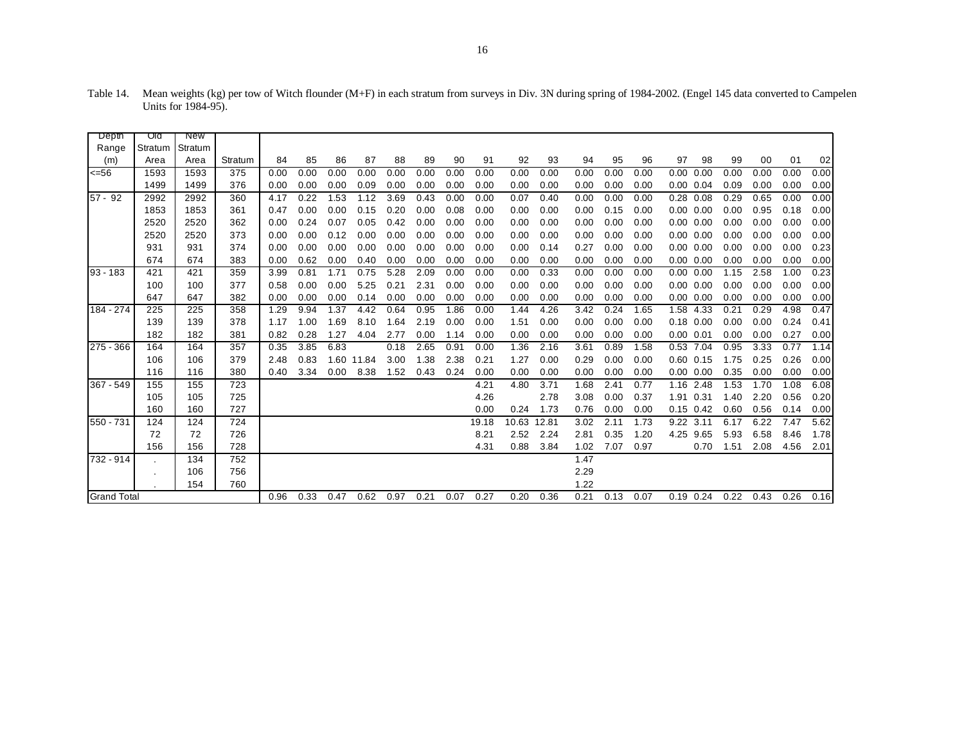| Depth              | णव      | <b>New</b> |         |      |      |      |            |      |      |      |       |       |       |      |      |      |                   |      |      |      |      |      |
|--------------------|---------|------------|---------|------|------|------|------------|------|------|------|-------|-------|-------|------|------|------|-------------------|------|------|------|------|------|
| Range              | Stratum | Stratum    |         |      |      |      |            |      |      |      |       |       |       |      |      |      |                   |      |      |      |      |      |
| (m)                | Area    | Area       | Stratum | 84   | 85   | 86   | 87         | 88   | 89   | 90   | 91    | 92    | 93    | 94   | 95   | 96   | 97                | 98   | 99   | 00   | 01   | 02   |
| <=56               | 1593    | 1593       | 375     | 0.00 | 0.00 | 0.00 | 0.00       | 0.00 | 0.00 | 0.00 | 0.00  | 0.00  | 0.00  | 0.00 | 0.00 | 0.00 | 0.00              | 0.00 | 0.00 | 0.00 | 0.00 | 0.00 |
|                    | 1499    | 1499       | 376     | 0.00 | 0.00 | 0.00 | 0.09       | 0.00 | 0.00 | 0.00 | 0.00  | 0.00  | 0.00  | 0.00 | 0.00 | 0.00 | $0.00 \quad 0.04$ |      | 0.09 | 0.00 | 0.00 | 0.00 |
| $57 - 92$          | 2992    | 2992       | 360     | 4.17 | 0.22 | 1.53 | 1.12       | 3.69 | 0.43 | 0.00 | 0.00  | 0.07  | 0.40  | 0.00 | 0.00 | 0.00 | 0.28 0.08         |      | 0.29 | 0.65 | 0.00 | 0.00 |
|                    | 1853    | 1853       | 361     | 0.47 | 0.00 | 0.00 | 0.15       | 0.20 | 0.00 | 0.08 | 0.00  | 0.00  | 0.00  | 0.00 | 0.15 | 0.00 | $0.00 \quad 0.00$ |      | 0.00 | 0.95 | 0.18 | 0.00 |
|                    | 2520    | 2520       | 362     | 0.00 | 0.24 | 0.07 | 0.05       | 0.42 | 0.00 | 0.00 | 0.00  | 0.00  | 0.00  | 0.00 | 0.00 | 0.00 | $0.00\ 0.00$      |      | 0.00 | 0.00 | 0.00 | 0.00 |
|                    | 2520    | 2520       | 373     | 0.00 | 0.00 | 0.12 | 0.00       | 0.00 | 0.00 | 0.00 | 0.00  | 0.00  | 0.00  | 0.00 | 0.00 | 0.00 | $0.00\ 0.00$      |      | 0.00 | 0.00 | 0.00 | 0.00 |
|                    | 931     | 931        | 374     | 0.00 | 0.00 | 0.00 | 0.00       | 0.00 | 0.00 | 0.00 | 0.00  | 0.00  | 0.14  | 0.27 | 0.00 | 0.00 | $0.00 \quad 0.00$ |      | 0.00 | 0.00 | 0.00 | 0.23 |
|                    | 674     | 674        | 383     | 0.00 | 0.62 | 0.00 | 0.40       | 0.00 | 0.00 | 0.00 | 0.00  | 0.00  | 0.00  | 0.00 | 0.00 | 0.00 | $0.00 \quad 0.00$ |      | 0.00 | 0.00 | 0.00 | 0.00 |
| $93 - 183$         | 421     | 421        | 359     | 3.99 | 0.81 | 1.71 | 0.75       | 5.28 | 2.09 | 0.00 | 0.00  | 0.00  | 0.33  | 0.00 | 0.00 | 0.00 | 0.00              | 0.00 | 1.15 | 2.58 | 1.00 | 0.23 |
|                    | 100     | 100        | 377     | 0.58 | 0.00 | 0.00 | 5.25       | 0.21 | 2.31 | 0.00 | 0.00  | 0.00  | 0.00  | 0.00 | 0.00 | 0.00 | $0.00 \quad 0.00$ |      | 0.00 | 0.00 | 0.00 | 0.00 |
|                    | 647     | 647        | 382     | 0.00 | 0.00 | 0.00 | 0.14       | 0.00 | 0.00 | 0.00 | 0.00  | 0.00  | 0.00  | 0.00 | 0.00 | 0.00 | $0.00\ 0.00$      |      | 0.00 | 0.00 | 0.00 | 0.00 |
| 184 - 274          | 225     | 225        | 358     | 1.29 | 9.94 | 1.37 | 4.42       | 0.64 | 0.95 | 1.86 | 0.00  | 1.44  | 4.26  | 3.42 | 0.24 | 1.65 | 1.58              | 4.33 | 0.21 | 0.29 | 4.98 | 0.47 |
|                    | 139     | 139        | 378     | 1.17 | 1.00 | 1.69 | 8.10       | 1.64 | 2.19 | 0.00 | 0.00  | 1.51  | 0.00  | 0.00 | 0.00 | 0.00 | $0.18$ 0.00       |      | 0.00 | 0.00 | 0.24 | 0.41 |
|                    | 182     | 182        | 381     | 0.82 | 0.28 | 1.27 | 4.04       | 2.77 | 0.00 | 1.14 | 0.00  | 0.00  | 0.00  | 0.00 | 0.00 | 0.00 | $0.00$ $0.01$     |      | 0.00 | 0.00 | 0.27 | 0.00 |
| $275 - 366$        | 164     | 164        | 357     | 0.35 | 3.85 | 6.83 |            | 0.18 | 2.65 | 0.91 | 0.00  | 1.36  | 2.16  | 3.61 | 0.89 | 1.58 | 0.53              | 7.04 | 0.95 | 3.33 | 0.77 | 1.14 |
|                    | 106     | 106        | 379     | 2.48 | 0.83 |      | 1.60 11.84 | 3.00 | 1.38 | 2.38 | 0.21  | 1.27  | 0.00  | 0.29 | 0.00 | 0.00 | $0.60$ $0.15$     |      | 1.75 | 0.25 | 0.26 | 0.00 |
|                    | 116     | 116        | 380     | 0.40 | 3.34 | 0.00 | 8.38       | 1.52 | 0.43 | 0.24 | 0.00  | 0.00  | 0.00  | 0.00 | 0.00 | 0.00 | $0.00 \quad 0.00$ |      | 0.35 | 0.00 | 0.00 | 0.00 |
| 367 - 549          | 155     | 155        | 723     |      |      |      |            |      |      |      | 4.21  | 4.80  | 3.71  | 1.68 | 2.41 | 0.77 | 1.16 2.48         |      | 1.53 | 1.70 | 1.08 | 6.08 |
|                    | 105     | 105        | 725     |      |      |      |            |      |      |      | 4.26  |       | 2.78  | 3.08 | 0.00 | 0.37 | 1.91 0.31         |      | 1.40 | 2.20 | 0.56 | 0.20 |
|                    | 160     | 160        | 727     |      |      |      |            |      |      |      | 0.00  | 0.24  | 1.73  | 0.76 | 0.00 | 0.00 | $0.15$ 0.42       |      | 0.60 | 0.56 | 0.14 | 0.00 |
| 550 - 731          | 124     | 124        | 724     |      |      |      |            |      |      |      | 19.18 | 10.63 | 12.81 | 3.02 | 2.11 | 1.73 | 9.22              | 3.11 | 6.17 | 6.22 | 7.47 | 5.62 |
|                    | 72      | 72         | 726     |      |      |      |            |      |      |      | 8.21  | 2.52  | 2.24  | 2.81 | 0.35 | 1.20 | 4.25 9.65         |      | 5.93 | 6.58 | 8.46 | 1.78 |
|                    | 156     | 156        | 728     |      |      |      |            |      |      |      | 4.31  | 0.88  | 3.84  | 1.02 | 7.07 | 0.97 |                   | 0.70 | 1.51 | 2.08 | 4.56 | 2.01 |
| 732 - 914          |         | 134        | 752     |      |      |      |            |      |      |      |       |       |       | 1.47 |      |      |                   |      |      |      |      |      |
|                    |         | 106        | 756     |      |      |      |            |      |      |      |       |       |       | 2.29 |      |      |                   |      |      |      |      |      |
|                    |         | 154        | 760     |      |      |      |            |      |      |      |       |       |       | 1.22 |      |      |                   |      |      |      |      |      |
| <b>Grand Total</b> |         |            |         | 0.96 | 0.33 | 0.47 | 0.62       | 0.97 | 0.21 | 0.07 | 0.27  | 0.20  | 0.36  | 0.21 | 0.13 | 0.07 | $0.19$ 0.24       |      | 0.22 | 0.43 | 0.26 | 0.16 |

Table 14. Mean weights (kg) per tow of Witch flounder (M+F) in each stratum from surveys in Div. 3N during spring of 1984-2002. (Engel 145 data converted to Campelen Units for 1984-95).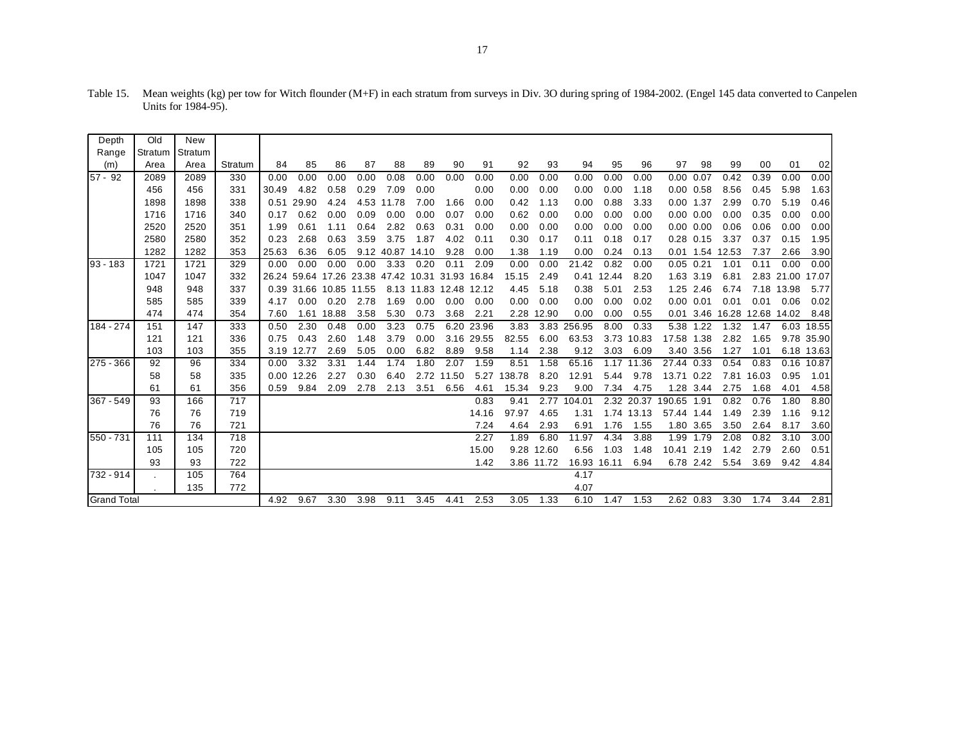| Depth              | Old     | New     |         |       |       |                   |             |            |       |             |            |        |            |        |       |            |             |                   |                  |       |            |            |
|--------------------|---------|---------|---------|-------|-------|-------------------|-------------|------------|-------|-------------|------------|--------|------------|--------|-------|------------|-------------|-------------------|------------------|-------|------------|------------|
| Range              | Stratum | Stratum |         |       |       |                   |             |            |       |             |            |        |            |        |       |            |             |                   |                  |       |            |            |
| (m)                | Area    | Area    | Stratum | 84    | 85    | 86                | 87          | 88         | 89    | 90          | 91         | 92     | 93         | 94     | 95    | 96         | 97          | 98                | 99               | 00    | 01         | 02         |
| $57 - 92$          | 2089    | 2089    | 330     | 0.00  | 0.00  | 0.00              | 0.00        | 0.08       | 0.00  | 0.00        | 0.00       | 0.00   | 0.00       | 0.00   | 0.00  | 0.00       | 0.00        | 0.07              | 0.42             | 0.39  | 0.00       | 0.00       |
|                    | 456     | 456     | 331     | 30.49 | 4.82  | 0.58              | 0.29        | 7.09       | 0.00  |             | 0.00       | 0.00   | 0.00       | 0.00   | 0.00  | 1.18       |             | $0.00 \quad 0.58$ | 8.56             | 0.45  | 5.98       | 1.63       |
|                    | 1898    | 1898    | 338     | 0.51  | 29.90 | 4.24              |             | 4.53 11.78 | 7.00  | 1.66        | 0.00       | 0.42   | 1.13       | 0.00   | 0.88  | 3.33       | 0.00        | 1.37              | 2.99             | 0.70  | 5.19       | 0.46       |
|                    | 1716    | 1716    | 340     | 0.17  | 0.62  | 0.00              | 0.09        | 0.00       | 0.00  | 0.07        | 0.00       | 0.62   | 0.00       | 0.00   | 0.00  | 0.00       |             | $0.00$ $0.00$     | 0.00             | 0.35  | 0.00       | 0.00       |
|                    | 2520    | 2520    | 351     | 1.99  | 0.61  | 1.11              | 0.64        | 2.82       | 0.63  | 0.31        | 0.00       | 0.00   | 0.00       | 0.00   | 0.00  | 0.00       |             | $0.00\ 0.00$      | 0.06             | 0.06  | 0.00       | 0.00       |
|                    | 2580    | 2580    | 352     | 0.23  | 2.68  | 0.63              | 3.59        | 3.75       | 1.87  | 4.02        | 0.11       | 0.30   | 0.17       | 0.11   | 0.18  | 0.17       |             | 0.28 0.15         | 3.37             | 0.37  | 0.15       | 1.95       |
|                    | 1282    | 1282    | 353     | 25.63 | 6.36  | 6.05              |             | 9.12 40.87 | 14.10 | 9.28        | 0.00       | 1.38   | 1.19       | 0.00   | 0.24  | 0.13       |             | 0.01 1.54 12.53   |                  | 7.37  | 2.66       | 3.90       |
| $93 - 183$         | 1721    | 1721    | 329     | 0.00  | 0.00  | 0.00              | 0.00        | 3.33       | 0.20  | 0.11        | 2.09       | 0.00   | 0.00       | 21.42  | 0.82  | 0.00       | $0.05$ 0.21 |                   | 1.01             | 0.11  | 0.00       | 0.00       |
|                    | 1047    | 1047    | 332     | 26.24 |       | 59.64 17.26       | 23.38 47.42 |            | 10.31 | 31.93 16.84 |            | 15.15  | 2.49       | 0.41   | 12.44 | 8.20       |             | 1.63 3.19         | 6.81             |       | 2.83 21.00 | 17.07      |
|                    | 948     | 948     | 337     | 0.39  |       | 31.66 10.85 11.55 |             | 8.13       | 11.83 | 12.48 12.12 |            | 4.45   | 5.18       | 0.38   | 5.01  | 2.53       | 1.25        | 2.46              | 6.74             | 7.18  | 13.98      | 5.77       |
|                    | 585     | 585     | 339     | 4.17  | 0.00  | 0.20              | 2.78        | 1.69       | 0.00  | 0.00        | 0.00       | 0.00   | 0.00       | 0.00   | 0.00  | 0.02       |             | $0.00$ $0.01$     | 0.01             | 0.01  | 0.06       | 0.02       |
|                    | 474     | 474     | 354     | 7.60  |       | 1.61 18.88        | 3.58        | 5.30       | 0.73  | 3.68        | 2.21       |        | 2.28 12.90 | 0.00   | 0.00  | 0.55       | 0.01        |                   | 3.46 16.28 12.68 |       | 14.02      | 8.48       |
| 184 - 274          | 151     | 147     | 333     | 0.50  | 2.30  | 0.48              | 0.00        | 3.23       | 0.75  |             | 6.20 23.96 | 3.83   | 3.83       | 256.95 | 8.00  | 0.33       | 5.38        | 1.22              | 1.32             | 1.47  |            | 6.03 18.55 |
|                    | 121     | 121     | 336     | 0.75  | 0.43  | 2.60              | 1.48        | 3.79       | 0.00  |             | 3.16 29.55 | 82.55  | 6.00       | 63.53  | 3.73  | 10.83      | 17.58 1.38  |                   | 2.82             | 1.65  |            | 9.78 35.90 |
|                    | 103     | 103     | 355     | 3.19  | 12.77 | 2.69              | 5.05        | 0.00       | 6.82  | 8.89        | 9.58       | 1.14   | 2.38       | 9.12   | 3.03  | 6.09       |             | 3.40 3.56         | 1.27             | 1.01  |            | 6.18 13.63 |
| $275 - 366$        | 92      | 96      | 334     | 0.00  | 3.32  | 3.31              | 1.44        | 1.74       | 1.80  | 2.07        | 1.59       | 8.51   | 1.58       | 65.16  | 1.17  | 11.36      | 27.44 0.33  |                   | 0.54             | 0.83  |            | 0.16 10.87 |
|                    | 58      | 58      | 335     | 0.00  | 12.26 | 2.27              | 0.30        | 6.40       | 2.72  | 11.50       | 5.27       | 138.78 | 8.20       | 12.91  | 5.44  | 9.78       | 13.71 0.22  |                   | 7.81             | 16.03 | 0.95       | 1.01       |
|                    | 61      | 61      | 356     | 0.59  | 9.84  | 2.09              | 2.78        | 2.13       | 3.51  | 6.56        | 4.61       | 15.34  | 9.23       | 9.00   | 7.34  | 4.75       |             | 1.28 3.44         | 2.75             | 1.68  | 4.01       | 4.58       |
| $367 - 549$        | 93      | 166     | 717     |       |       |                   |             |            |       |             | 0.83       | 9.41   | 2.77       | 104.01 |       | 2.32 20.37 | 190.65      | 1.91              | 0.82             | 0.76  | 1.80       | 8.80       |
|                    | 76      | 76      | 719     |       |       |                   |             |            |       |             | 14.16      | 97.97  | 4.65       | 1.31   | 1.74  | 13.13      | 57.44 1.44  |                   | 1.49             | 2.39  | 1.16       | 9.12       |
|                    | 76      | 76      | 721     |       |       |                   |             |            |       |             | 7.24       | 4.64   | 2.93       | 6.91   | 1.76  | 1.55       |             | 1.80 3.65         | 3.50             | 2.64  | 8.17       | 3.60       |
| 550 - 731          | 111     | 134     | 718     |       |       |                   |             |            |       |             | 2.27       | 1.89   | 6.80       | 11.97  | 4.34  | 3.88       | 1.99        | 1.79              | 2.08             | 0.82  | 3.10       | 3.00       |
|                    | 105     | 105     | 720     |       |       |                   |             |            |       |             | 15.00      | 9.28   | 12.60      | 6.56   | 1.03  | 1.48       | 10.41       | 2.19              | 1.42             | 2.79  | 2.60       | 0.51       |
|                    | 93      | 93      | 722     |       |       |                   |             |            |       |             | 1.42       |        | 3.86 11.72 | 16.93  | 16.11 | 6.94       |             | 6.78 2.42         | 5.54             | 3.69  | 9.42       | 4.84       |
| 732 - 914          |         | 105     | 764     |       |       |                   |             |            |       |             |            |        |            | 4.17   |       |            |             |                   |                  |       |            |            |
|                    |         | 135     | 772     |       |       |                   |             |            |       |             |            |        |            | 4.07   |       |            |             |                   |                  |       |            |            |
| <b>Grand Total</b> |         |         |         | 4.92  | 9.67  | 3.30              | 3.98        | 9.11       | 3.45  | 4.41        | 2.53       | 3.05   | 1.33       | 6.10   | 1.47  | 1.53       |             | 2.62 0.83         | 3.30             | 1.74  | 3.44       | 2.81       |

Table 15. Mean weights (kg) per tow for Witch flounder (M+F) in each stratum from surveys in Div. 3O during spring of 1984-2002. (Engel 145 data converted to Canpelen Units for 1984-95).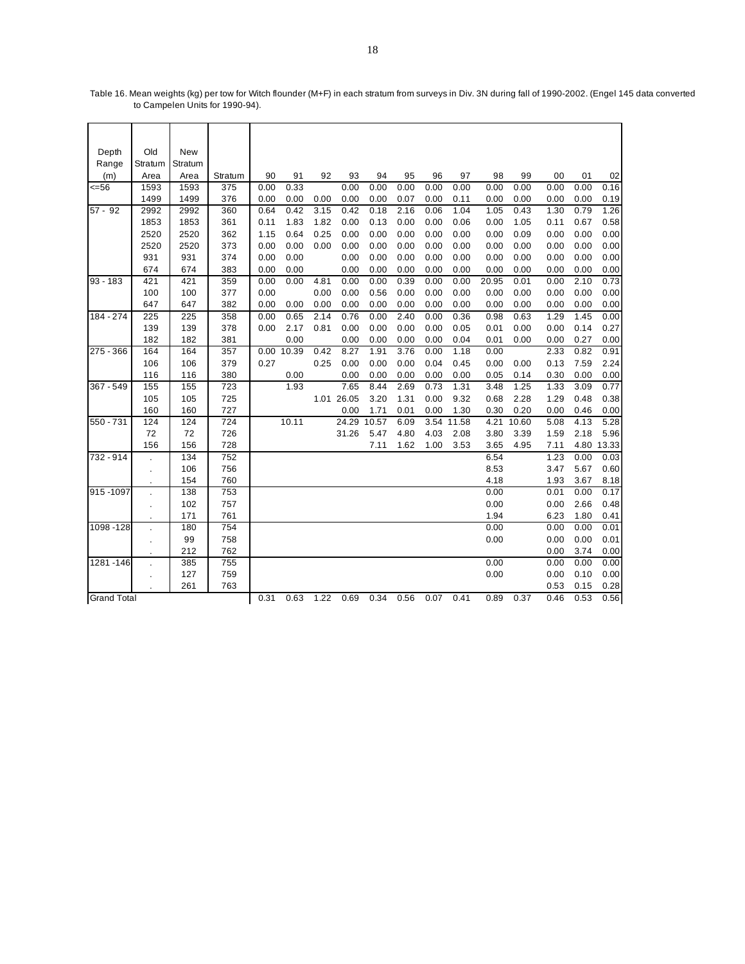| Depth              | Old          | New        |            |      |            |      |            |       |      |      |       |       |       |              |              |              |
|--------------------|--------------|------------|------------|------|------------|------|------------|-------|------|------|-------|-------|-------|--------------|--------------|--------------|
| Range              | Stratum      | Stratum    |            |      |            |      |            |       |      |      |       |       |       |              |              |              |
| (m)                | Area         | Area       | Stratum    | 90   | 91         | 92   | 93         | 94    | 95   | 96   | 97    | 98    | 99    | 00           | 01           | 02           |
| $= 56$             | 1593         | 1593       | 375        | 0.00 | 0.33       |      | 0.00       | 0.00  | 0.00 | 0.00 | 0.00  | 0.00  | 0.00  | 0.00         | 0.00         | 0.16         |
|                    | 1499         | 1499       | 376        | 0.00 | 0.00       | 0.00 | 0.00       | 0.00  | 0.07 | 0.00 | 0.11  | 0.00  | 0.00  | 0.00         | 0.00         | 0.19         |
| $57 - 92$          | 2992         | 2992       | 360        | 0.64 | 0.42       | 3.15 | 0.42       | 0.18  | 2.16 | 0.06 | 1.04  | 1.05  | 0.43  | 1.30         | 0.79         | 1.26         |
|                    | 1853         | 1853       | 361        | 0.11 | 1.83       | 1.82 | 0.00       | 0.13  | 0.00 | 0.00 | 0.06  | 0.00  | 1.05  | 0.11         | 0.67         | 0.58         |
|                    | 2520         | 2520       | 362        | 1.15 | 0.64       | 0.25 | 0.00       | 0.00  | 0.00 | 0.00 | 0.00  | 0.00  | 0.09  | 0.00         | 0.00         | 0.00         |
|                    | 2520         | 2520       | 373        | 0.00 | 0.00       | 0.00 | 0.00       | 0.00  | 0.00 | 0.00 | 0.00  | 0.00  | 0.00  | 0.00         | 0.00         | 0.00         |
|                    | 931          | 931        | 374        | 0.00 | 0.00       |      | 0.00       | 0.00  | 0.00 | 0.00 | 0.00  | 0.00  | 0.00  | 0.00         | 0.00         | 0.00         |
|                    | 674          | 674        | 383        | 0.00 | 0.00       |      | 0.00       | 0.00  | 0.00 | 0.00 | 0.00  | 0.00  | 0.00  | 0.00         | 0.00         | 0.00         |
| $93 - 183$         | 421          | 421        | 359        | 0.00 | 0.00       | 4.81 | 0.00       | 0.00  | 0.39 | 0.00 | 0.00  | 20.95 | 0.01  | 0.00         | 2.10         | 0.73         |
|                    | 100          | 100        | 377        | 0.00 |            | 0.00 | 0.00       | 0.56  | 0.00 | 0.00 | 0.00  | 0.00  | 0.00  | 0.00         | 0.00         | 0.00         |
|                    | 647          | 647        | 382        | 0.00 | 0.00       | 0.00 | 0.00       | 0.00  | 0.00 | 0.00 | 0.00  | 0.00  | 0.00  | 0.00         | 0.00         | 0.00         |
| 184 - 274          | 225          | 225        | 358        | 0.00 | 0.65       | 2.14 | 0.76       | 0.00  | 2.40 | 0.00 | 0.36  | 0.98  | 0.63  | 1.29         | 1.45         | 0.00         |
|                    | 139          | 139        | 378        | 0.00 | 2.17       | 0.81 | 0.00       | 0.00  | 0.00 | 0.00 | 0.05  | 0.01  | 0.00  | 0.00         | 0.14         | 0.27         |
|                    | 182          | 182        | 381        |      | 0.00       |      | 0.00       | 0.00  | 0.00 | 0.00 | 0.04  | 0.01  | 0.00  | 0.00         | 0.27         | 0.00         |
| 275 - 366          | 164          | 164        | 357        |      | 0.00 10.39 | 0.42 | 8.27       | 1.91  | 3.76 | 0.00 | 1.18  | 0.00  |       | 2.33         | 0.82         | 0.91         |
|                    | 106          | 106        | 379        | 0.27 |            | 0.25 | 0.00       | 0.00  | 0.00 | 0.04 | 0.45  | 0.00  | 0.00  | 0.13         | 7.59         | 2.24         |
|                    | 116          | 116        | 380        |      | 0.00       |      | 0.00       | 0.00  | 0.00 | 0.00 | 0.00  | 0.05  | 0.14  | 0.30         | 0.00         | 0.00         |
| $367 - 549$        | 155          | 155        | 723        |      | 1.93       |      | 7.65       | 8.44  | 2.69 | 0.73 | 1.31  | 3.48  | 1.25  | 1.33         | 3.09         | 0.77         |
|                    | 105          | 105        | 725        |      |            |      | 1.01 26.05 | 3.20  | 1.31 | 0.00 | 9.32  | 0.68  | 2.28  | 1.29         | 0.48         | 0.38         |
|                    | 160          | 160        | 727        |      |            |      | 0.00       | 1.71  | 0.01 | 0.00 | 1.30  | 0.30  | 0.20  | 0.00         | 0.46         | 0.00         |
| 550 - 731          | 124          | 124        | 724        |      | 10.11      |      | 24.29      | 10.57 | 6.09 | 3.54 | 11.58 | 4.21  | 10.60 | 5.08         | 4.13         | 5.28         |
|                    | 72           | 72         | 726        |      |            |      | 31.26      | 5.47  | 4.80 | 4.03 | 2.08  | 3.80  | 3.39  | 1.59         | 2.18         | 5.96         |
|                    | 156          | 156        | 728        |      |            |      |            | 7.11  | 1.62 | 1.00 | 3.53  | 3.65  | 4.95  | 7.11         |              | 4.80 13.33   |
| 732 - 914          |              | 134        | 752        |      |            |      |            |       |      |      |       | 6.54  |       | 1.23         | 0.00         | 0.03         |
|                    | $\mathbf{r}$ | 106        | 756        |      |            |      |            |       |      |      |       | 8.53  |       | 3.47         | 5.67         | 0.60         |
|                    |              | 154        | 760        |      |            |      |            |       |      |      |       | 4.18  |       | 1.93         | 3.67         | 8.18         |
| 915-1097           |              | 138        | 753        |      |            |      |            |       |      |      |       | 0.00  |       | 0.01         | 0.00         | 0.17         |
|                    |              | 102        | 757        |      |            |      |            |       |      |      |       | 0.00  |       | 0.00         | 2.66         | 0.48         |
|                    |              | 171        | 761        |      |            |      |            |       |      |      |       | 1.94  |       | 6.23         | 1.80         | 0.41         |
| 1098-128           |              | 180        | 754        |      |            |      |            |       |      |      |       | 0.00  |       | 0.00<br>0.00 | 0.00<br>0.00 | 0.01         |
|                    |              | 99         | 758        |      |            |      |            |       |      |      |       | 0.00  |       |              |              | 0.01         |
|                    |              | 212        | 762        |      |            |      |            |       |      |      |       |       |       | 0.00         | 3.74         | 0.00         |
| 1281-146           |              | 385<br>127 | 755        |      |            |      |            |       |      |      |       | 0.00  |       | 0.00<br>0.00 | 0.00         | 0.00<br>0.00 |
|                    |              | 261        | 759<br>763 |      |            |      |            |       |      |      |       | 0.00  |       | 0.53         | 0.10<br>0.15 | 0.28         |
| <b>Grand Total</b> |              |            |            | 0.31 | 0.63       | 1.22 | 0.69       | 0.34  | 0.56 | 0.07 | 0.41  | 0.89  | 0.37  | 0.46         | 0.53         | 0.56         |
|                    |              |            |            |      |            |      |            |       |      |      |       |       |       |              |              |              |

Table 16. Mean weights (kg) per tow for Witch flounder (M+F) in each stratum from surveys in Div. 3N during fall of 1990-2002. (Engel 145 data converted to Campelen Units for 1990-94).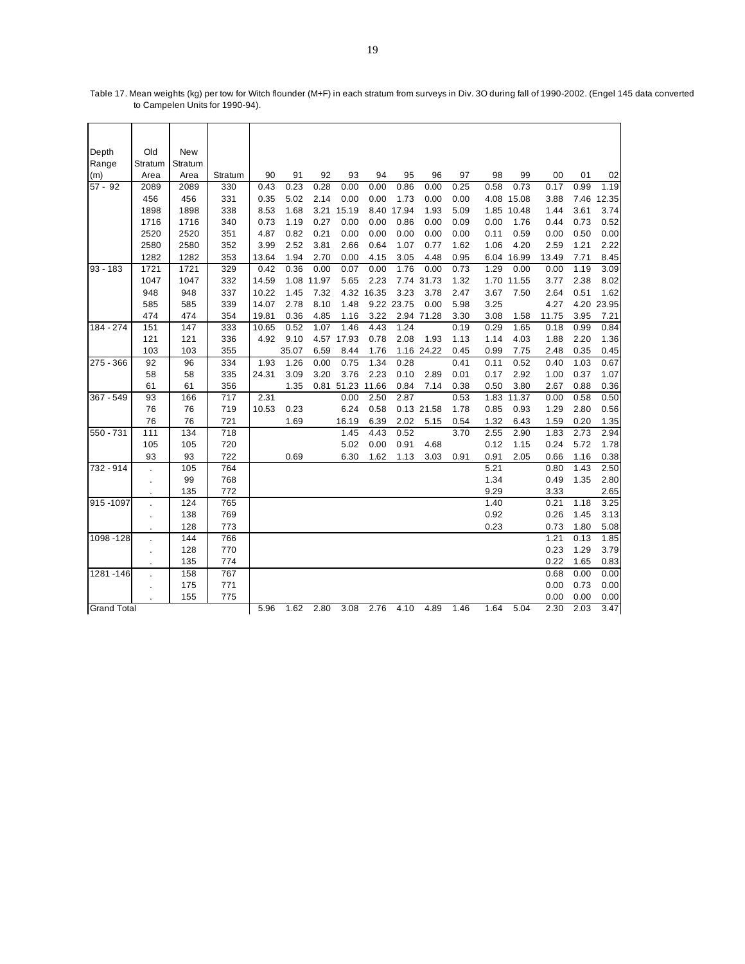| Depth              | Old                  | New     |         |       |       |            |            |            |            |            |      |      |            |       |      |            |
|--------------------|----------------------|---------|---------|-------|-------|------------|------------|------------|------------|------------|------|------|------------|-------|------|------------|
| Range              | Stratum              | Stratum |         |       |       |            |            |            |            |            |      |      |            |       |      |            |
| (m)                | Area                 | Area    | Stratum | 90    | 91    | 92         | 93         | 94         | 95         | 96         | 97   | 98   | 99         | 00    | 01   | 02         |
| $57 - 92$          | 2089                 | 2089    | 330     | 0.43  | 0.23  | 0.28       | 0.00       | 0.00       | 0.86       | 0.00       | 0.25 | 0.58 | 0.73       | 0.17  | 0.99 | 1.19       |
|                    | 456                  | 456     | 331     | 0.35  | 5.02  | 2.14       | 0.00       | 0.00       | 1.73       | 0.00       | 0.00 |      | 4.08 15.08 | 3.88  | 7.46 | 12.35      |
|                    | 1898                 | 1898    | 338     | 8.53  | 1.68  | 3.21       | 15.19      |            | 8.40 17.94 | 1.93       | 5.09 |      | 1.85 10.48 | 1.44  | 3.61 | 3.74       |
|                    | 1716                 | 1716    | 340     | 0.73  | 1.19  | 0.27       | 0.00       | 0.00       | 0.86       | 0.00       | 0.09 | 0.00 | 1.76       | 0.44  | 0.73 | 0.52       |
|                    | 2520                 | 2520    | 351     | 4.87  | 0.82  | 0.21       | 0.00       | 0.00       | 0.00       | 0.00       | 0.00 | 0.11 | 0.59       | 0.00  | 0.50 | 0.00       |
|                    | 2580                 | 2580    | 352     | 3.99  | 2.52  | 3.81       | 2.66       | 0.64       | 1.07       | 0.77       | 1.62 | 1.06 | 4.20       | 2.59  | 1.21 | 2.22       |
|                    | 1282                 | 1282    | 353     | 13.64 | 1.94  | 2.70       | 0.00       | 4.15       | 3.05       | 4.48       | 0.95 |      | 6.04 16.99 | 13.49 | 7.71 | 8.45       |
| $93 - 183$         | 1721                 | 1721    | 329     | 0.42  | 0.36  | 0.00       | 0.07       | 0.00       | 1.76       | 0.00       | 0.73 | 1.29 | 0.00       | 0.00  | 1.19 | 3.09       |
|                    | 1047                 | 1047    | 332     | 14.59 |       | 1.08 11.97 | 5.65       | 2.23       |            | 7.74 31.73 | 1.32 |      | 1.70 11.55 | 3.77  | 2.38 | 8.02       |
|                    | 948                  | 948     | 337     | 10.22 | 1.45  | 7.32       |            | 4.32 16.35 | 3.23       | 3.78       | 2.47 | 3.67 | 7.50       | 2.64  | 0.51 | 1.62       |
|                    | 585                  | 585     | 339     | 14.07 | 2.78  | 8.10       | 1.48       |            | 9.22 23.75 | 0.00       | 5.98 | 3.25 |            | 4.27  |      | 4.20 23.95 |
|                    | 474                  | 474     | 354     | 19.81 | 0.36  | 4.85       | 1.16       | 3.22       |            | 2.94 71.28 | 3.30 | 3.08 | 1.58       | 11.75 | 3.95 | 7.21       |
| 184 - 274          | 151                  | 147     | 333     | 10.65 | 0.52  | 1.07       | 1.46       | 4.43       | 1.24       |            | 0.19 | 0.29 | 1.65       | 0.18  | 0.99 | 0.84       |
|                    | 121                  | 121     | 336     | 4.92  | 9.10  |            | 4.57 17.93 | 0.78       | 2.08       | 1.93       | 1.13 | 1.14 | 4.03       | 1.88  | 2.20 | 1.36       |
|                    | 103                  | 103     | 355     |       | 35.07 | 6.59       | 8.44       | 1.76       |            | 1.16 24.22 | 0.45 | 0.99 | 7.75       | 2.48  | 0.35 | 0.45       |
| $275 - 366$        | 92                   | 96      | 334     | 1.93  | 1.26  | 0.00       | 0.75       | 1.34       | 0.28       |            | 0.41 | 0.11 | 0.52       | 0.40  | 1.03 | 0.67       |
|                    | 58                   | 58      | 335     | 24.31 | 3.09  | 3.20       | 3.76       | 2.23       | 0.10       | 2.89       | 0.01 | 0.17 | 2.92       | 1.00  | 0.37 | 1.07       |
|                    | 61                   | 61      | 356     |       | 1.35  |            | 0.81 51.23 | 11.66      | 0.84       | 7.14       | 0.38 | 0.50 | 3.80       | 2.67  | 0.88 | 0.36       |
| 367 - 549          | 93                   | 166     | 717     | 2.31  |       |            | 0.00       | 2.50       | 2.87       |            | 0.53 |      | 1.83 11.37 | 0.00  | 0.58 | 0.50       |
|                    | 76                   | 76      | 719     | 10.53 | 0.23  |            | 6.24       | 0.58       |            | 0.13 21.58 | 1.78 | 0.85 | 0.93       | 1.29  | 2.80 | 0.56       |
|                    | 76                   | 76      | 721     |       | 1.69  |            | 16.19      | 6.39       | 2.02       | 5.15       | 0.54 | 1.32 | 6.43       | 1.59  | 0.20 | 1.35       |
| 550 - 731          | 111                  | 134     | 718     |       |       |            | 1.45       | 4.43       | 0.52       |            | 3.70 | 2.55 | 2.90       | 1.83  | 2.73 | 2.94       |
|                    | 105                  | 105     | 720     |       |       |            | 5.02       | 0.00       | 0.91       | 4.68       |      | 0.12 | 1.15       | 0.24  | 5.72 | 1.78       |
|                    | 93                   | 93      | 722     |       | 0.69  |            | 6.30       | 1.62       | 1.13       | 3.03       | 0.91 | 0.91 | 2.05       | 0.66  | 1.16 | 0.38       |
| 732 - 914          |                      | 105     | 764     |       |       |            |            |            |            |            |      | 5.21 |            | 0.80  | 1.43 | 2.50       |
|                    |                      | 99      | 768     |       |       |            |            |            |            |            |      | 1.34 |            | 0.49  | 1.35 | 2.80       |
|                    |                      | 135     | 772     |       |       |            |            |            |            |            |      | 9.29 |            | 3.33  |      | 2.65       |
| 915-1097           |                      | 124     | 765     |       |       |            |            |            |            |            |      | 1.40 |            | 0.21  | 1.18 | 3.25       |
|                    |                      | 138     | 769     |       |       |            |            |            |            |            |      | 0.92 |            | 0.26  | 1.45 | 3.13       |
|                    |                      | 128     | 773     |       |       |            |            |            |            |            |      | 0.23 |            | 0.73  | 1.80 | 5.08       |
| 1098-128           |                      | 144     | 766     |       |       |            |            |            |            |            |      |      |            | 1.21  | 0.13 | 1.85       |
|                    | $\ddot{\phantom{a}}$ | 128     | 770     |       |       |            |            |            |            |            |      |      |            | 0.23  | 1.29 | 3.79       |
|                    |                      | 135     | 774     |       |       |            |            |            |            |            |      |      |            | 0.22  | 1.65 | 0.83       |
| 1281-146           |                      | 158     | 767     |       |       |            |            |            |            |            |      |      |            | 0.68  | 0.00 | 0.00       |
|                    |                      | 175     | 771     |       |       |            |            |            |            |            |      |      |            | 0.00  | 0.73 | 0.00       |
|                    |                      | 155     | 775     |       |       |            |            |            |            |            |      |      |            | 0.00  | 0.00 | 0.00       |
| <b>Grand Total</b> |                      |         |         | 5.96  | 1.62  | 2.80       | 3.08       | 2.76       | 4.10       | 4.89       | 1.46 | 1.64 | 5.04       | 2.30  | 2.03 | 3.47       |

Table 17. Mean weights (kg) per tow for Witch flounder (M+F) in each stratum from surveys in Div. 3O during fall of 1990-2002. (Engel 145 data converted to Campelen Units for 1990-94).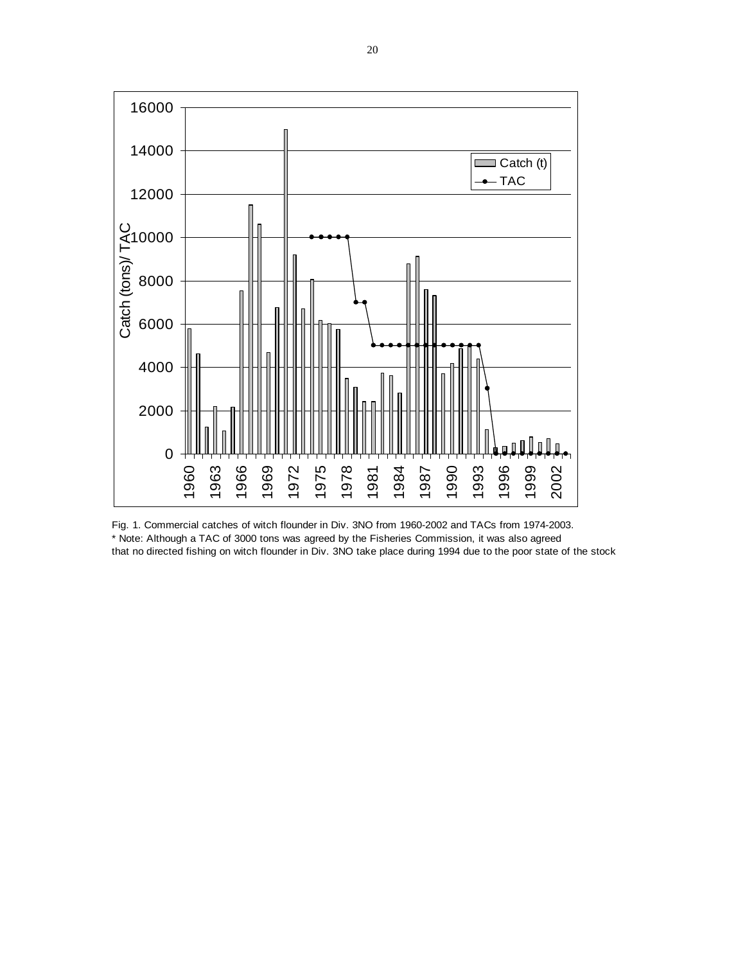

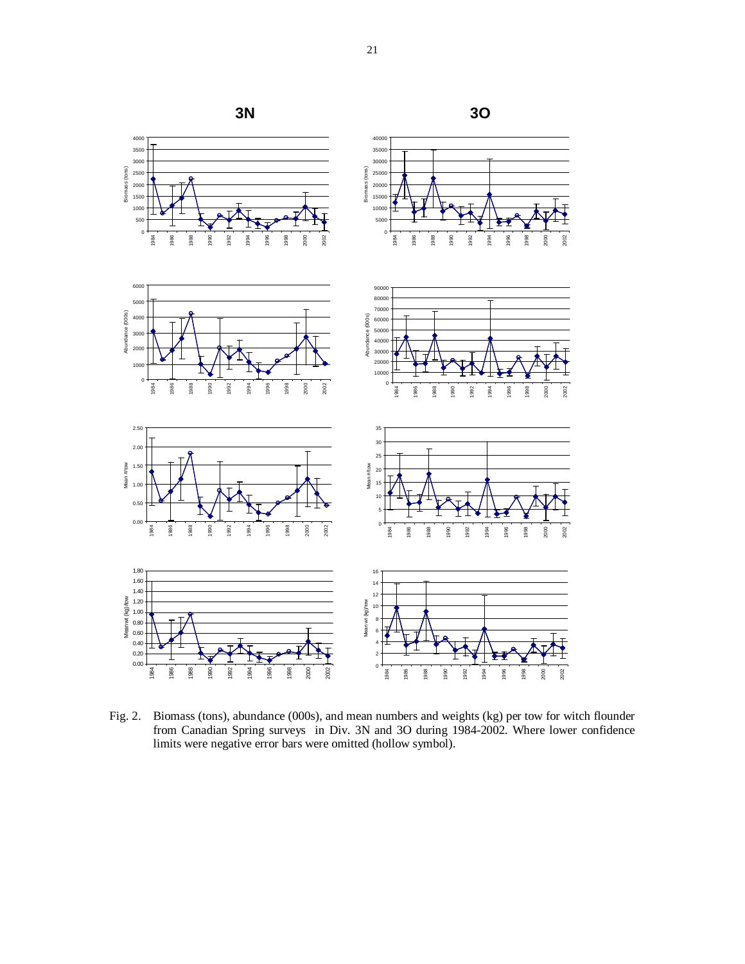

Fig. 2. Biomass (tons), abundance (000s), and mean numbers and weights (kg) per tow for witch flounder from Canadian Spring surveys in Div. 3N and 3O during 1984-2002. Where lower confidence limits were negative error bars were omitted (hollow symbol).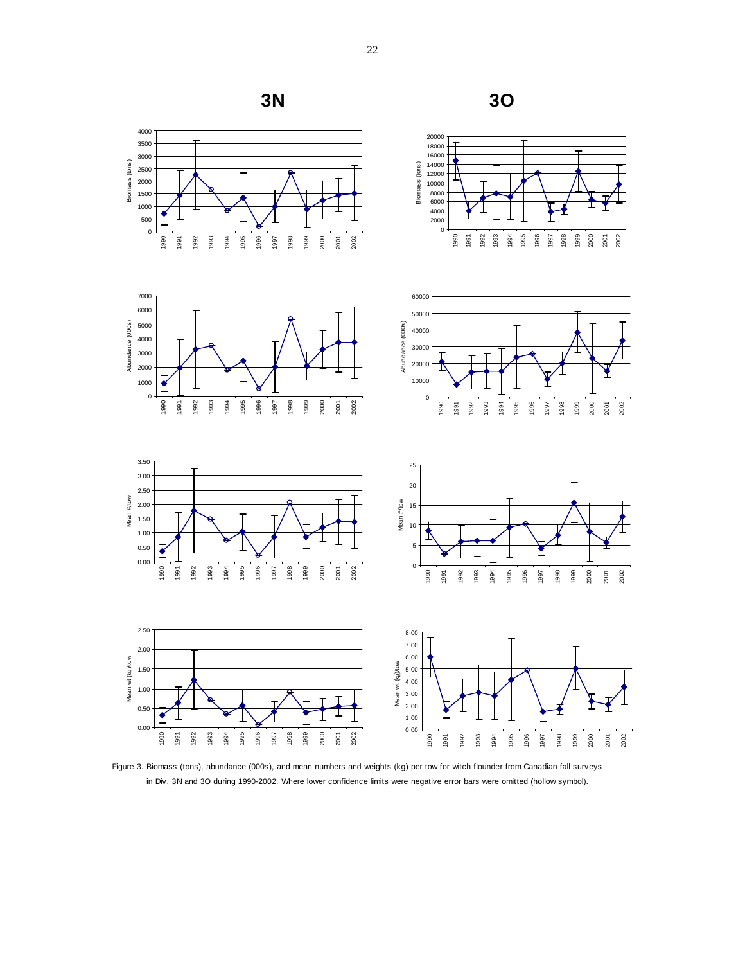

Figure 3. Biomass (tons), abundance (000s), and mean numbers and weights (kg) per tow for witch flounder from Canadian fall surveys in Div. 3N and 3O during 1990-2002. Where lower confidence limits were negative error bars were omitted (hollow symbol).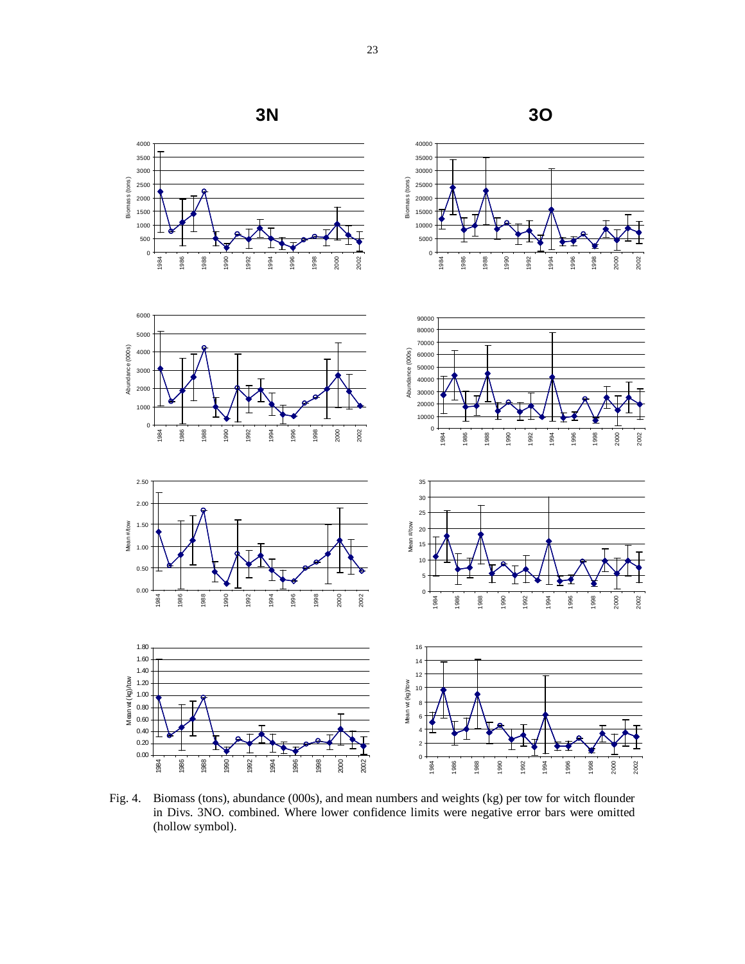

Fig. 4. Biomass (tons), abundance (000s), and mean numbers and weights (kg) per tow for witch flounder in Divs. 3NO. combined. Where lower confidence limits were negative error bars were omitted (hollow symbol).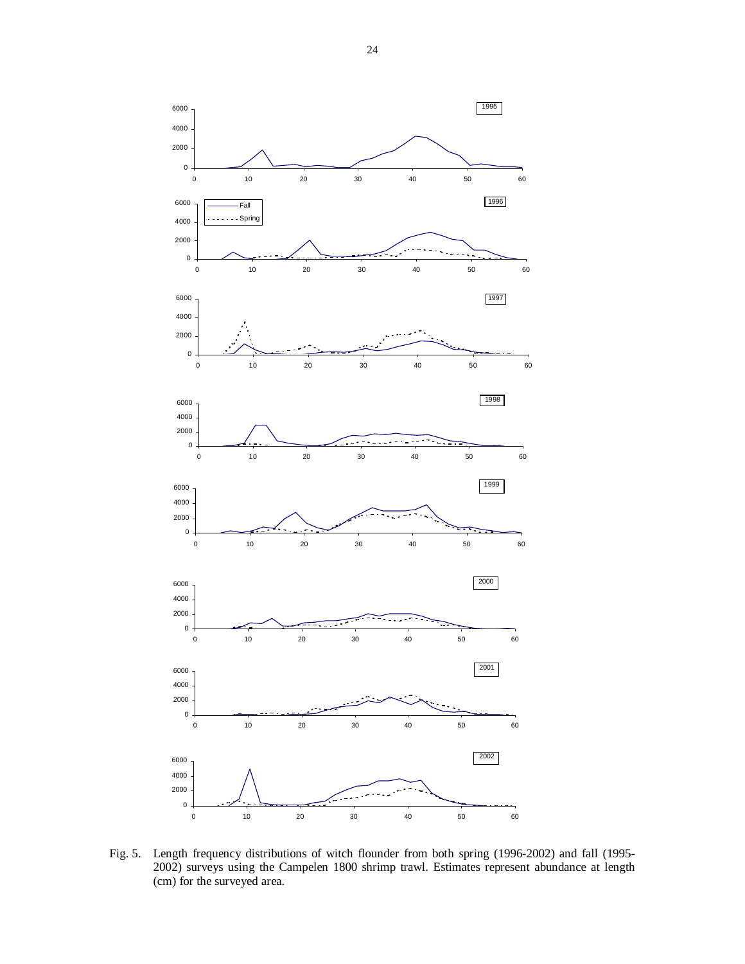

Fig. 5. Length frequency distributions of witch flounder from both spring (1996-2002) and fall (1995- 2002) surveys using the Campelen 1800 shrimp trawl. Estimates represent abundance at length (cm) for the surveyed area.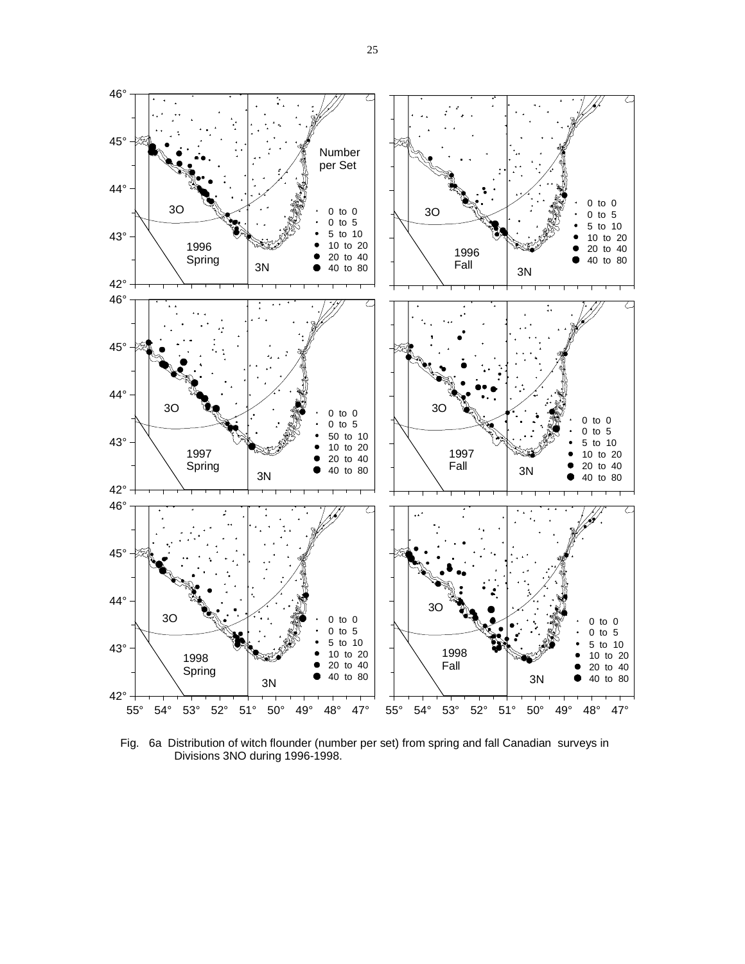

Fig. 6a Distribution of witch flounder (number per set) from spring and fall Canadian surveys in Divisions 3NO during 1996-1998.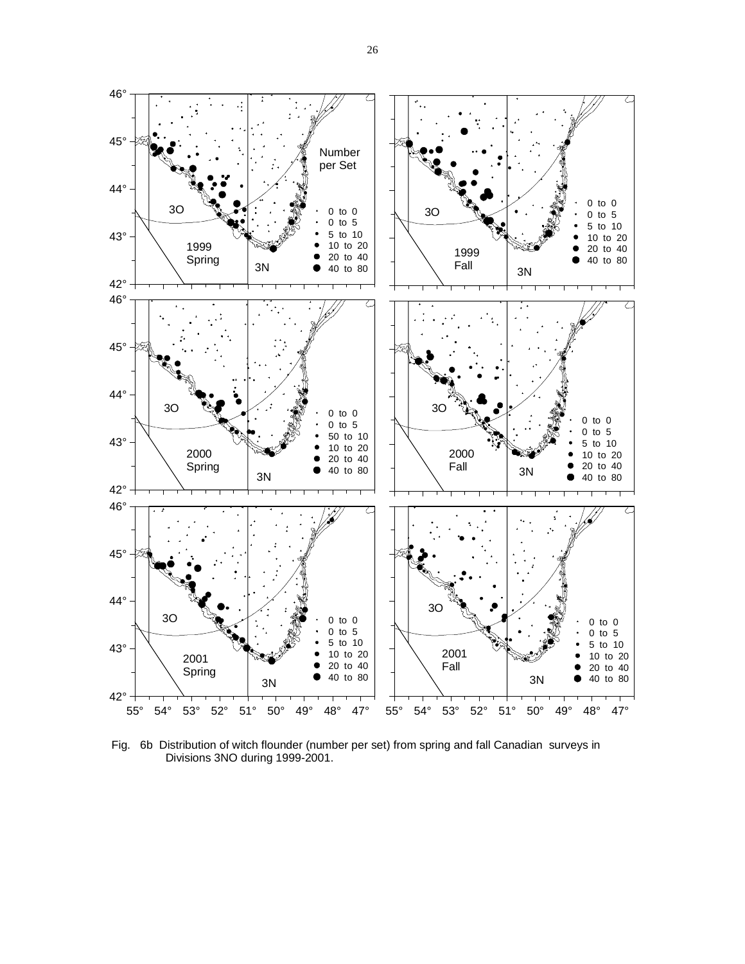

Fig. 6b Distribution of witch flounder (number per set) from spring and fall Canadian surveys in Divisions 3NO during 1999-2001.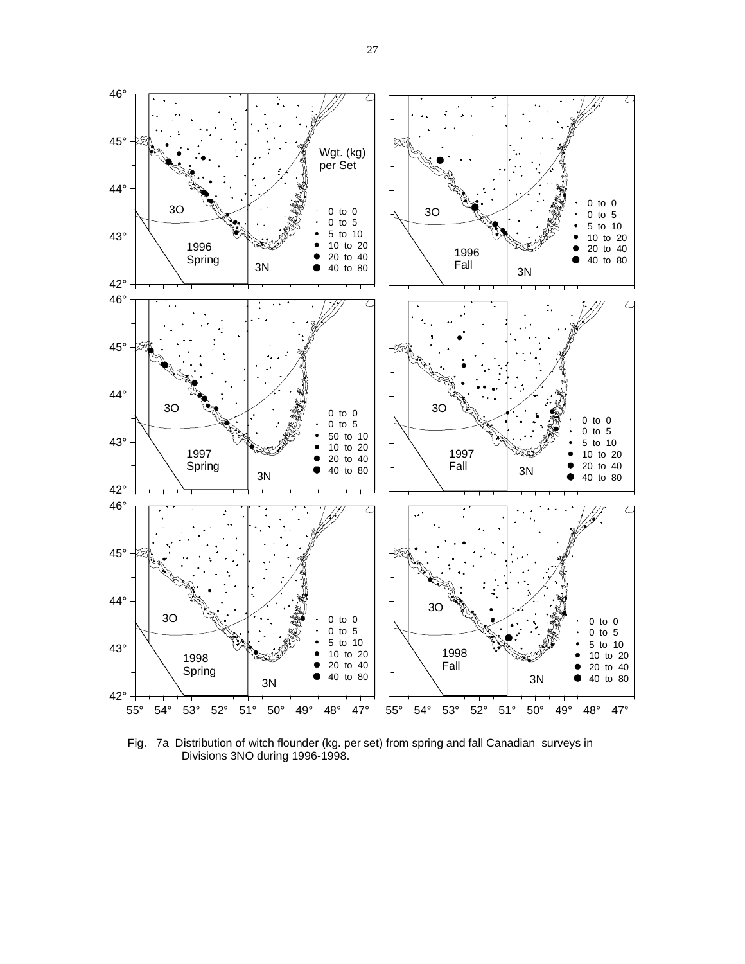

Fig. 7a Distribution of witch flounder (kg. per set) from spring and fall Canadian surveys in Divisions 3NO during 1996-1998.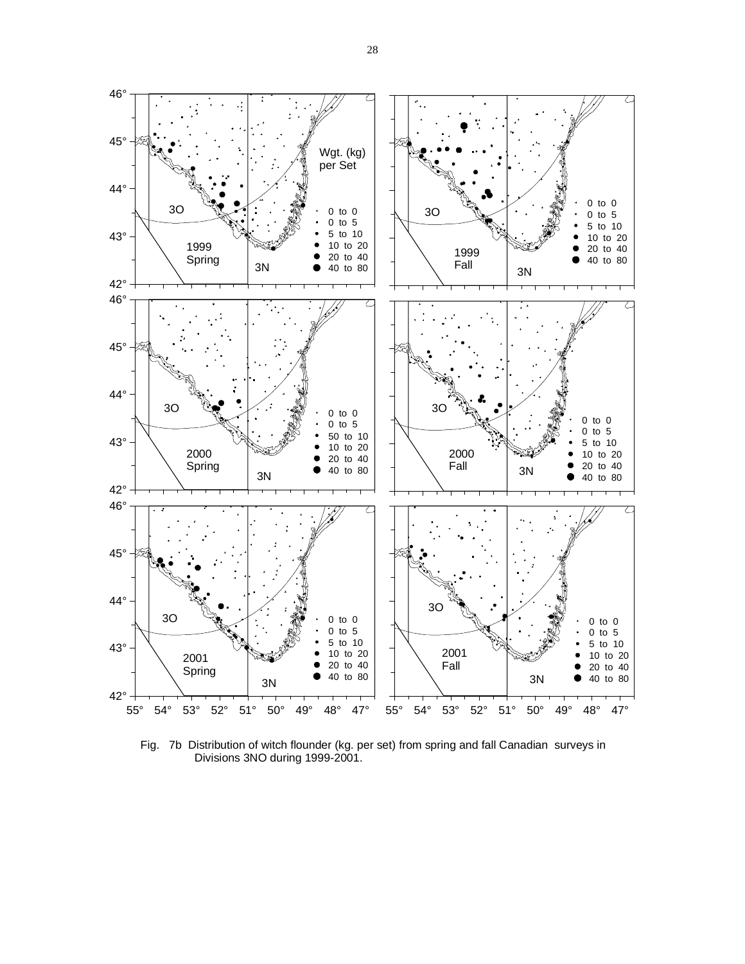

Fig. 7b Distribution of witch flounder (kg. per set) from spring and fall Canadian surveys in Divisions 3NO during 1999-2001.